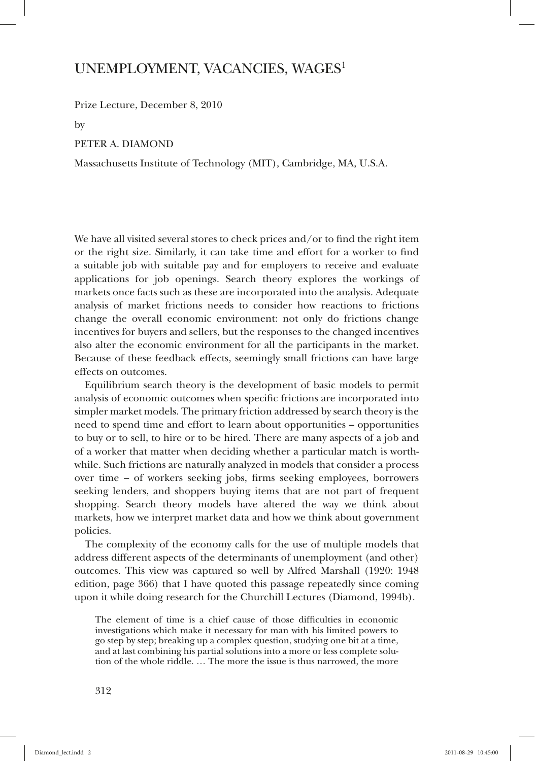# UNEMPLOYMENT, VACANCIES, WAGES1

Prize Lecture, December 8, 2010

by

## PETER A. DIAMOND

Massachusetts Institute of Technology (MIT), Cambridge, MA, U.S.A.

We have all visited several stores to check prices and/or to find the right item or the right size. Similarly, it can take time and effort for a worker to find a suitable job with suitable pay and for employers to receive and evaluate applications for job openings. Search theory explores the workings of markets once facts such as these are incorporated into the analysis. Adequate analysis of market frictions needs to consider how reactions to frictions change the overall economic environment: not only do frictions change incentives for buyers and sellers, but the responses to the changed incentives also alter the economic environment for all the participants in the market. Because of these feedback effects, seemingly small frictions can have large effects on outcomes.

Equilibrium search theory is the development of basic models to permit analysis of economic outcomes when specific frictions are incorporated into simpler market models. The primary friction addressed by search theory is the need to spend time and effort to learn about opportunities – opportunities to buy or to sell, to hire or to be hired. There are many aspects of a job and of a worker that matter when deciding whether a particular match is worthwhile. Such frictions are naturally analyzed in models that consider a process over time – of workers seeking jobs, firms seeking employees, borrowers seeking lenders, and shoppers buying items that are not part of frequent shopping. Search theory models have altered the way we think about markets, how we interpret market data and how we think about government policies.

The complexity of the economy calls for the use of multiple models that address different aspects of the determinants of unemployment (and other) outcomes. This view was captured so well by Alfred Marshall (1920: 1948 edition, page 366) that I have quoted this passage repeatedly since coming upon it while doing research for the Churchill Lectures (Diamond, 1994b).

The element of time is a chief cause of those difficulties in economic investigations which make it necessary for man with his limited powers to go step by step; breaking up a complex question, studying one bit at a time, and at last combining his partial solutions into a more or less complete solution of the whole riddle. … The more the issue is thus narrowed, the more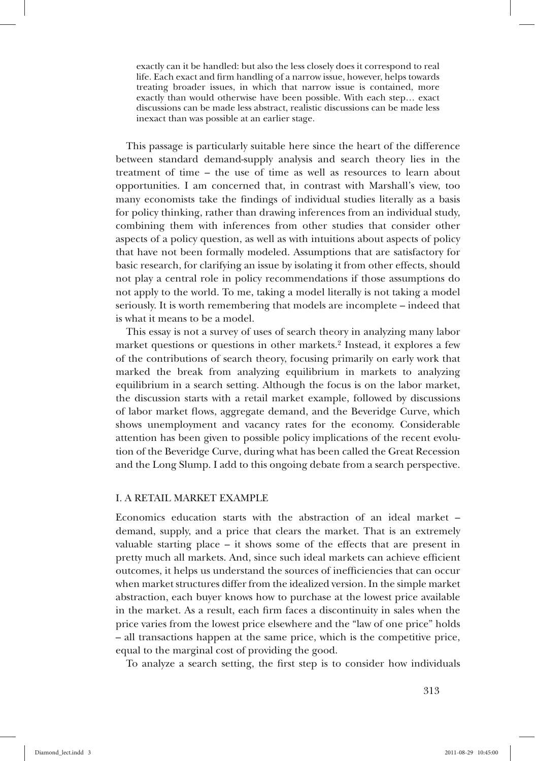exactly can it be handled: but also the less closely does it correspond to real life. Each exact and firm handling of a narrow issue, however, helps towards treating broader issues, in which that narrow issue is contained, more exactly than would otherwise have been possible. With each step… exact discussions can be made less abstract, realistic discussions can be made less inexact than was possible at an earlier stage.

This passage is particularly suitable here since the heart of the difference between standard demand-supply analysis and search theory lies in the treatment of time – the use of time as well as resources to learn about opportunities. I am concerned that, in contrast with Marshall's view, too many economists take the findings of individual studies literally as a basis for policy thinking, rather than drawing inferences from an individual study, combining them with inferences from other studies that consider other aspects of a policy question, as well as with intuitions about aspects of policy that have not been formally modeled. Assumptions that are satisfactory for basic research, for clarifying an issue by isolating it from other effects, should not play a central role in policy recommendations if those assumptions do not apply to the world. To me, taking a model literally is not taking a model seriously. It is worth remembering that models are incomplete – indeed that is what it means to be a model.

This essay is not a survey of uses of search theory in analyzing many labor market questions or questions in other markets. 2 Instead, it explores a few of the contributions of search theory, focusing primarily on early work that marked the break from analyzing equilibrium in markets to analyzing equilibrium in a search setting. Although the focus is on the labor market, the discussion starts with a retail market example, followed by discussions of labor market flows, aggregate demand, and the Beveridge Curve, which shows unemployment and vacancy rates for the economy. Considerable attention has been given to possible policy implications of the recent evolution of the Beveridge Curve, during what has been called the Great Recession and the Long Slump. I add to this ongoing debate from a search perspective.

### I. A RETAIL MARKET EXAMPLE

Economics education starts with the abstraction of an ideal market – demand, supply, and a price that clears the market. That is an extremely valuable starting place – it shows some of the effects that are present in pretty much all markets. And, since such ideal markets can achieve efficient outcomes, it helps us understand the sources of inefficiencies that can occur when market structures differ from the idealized version. In the simple market abstraction, each buyer knows how to purchase at the lowest price available in the market. As a result, each firm faces a discontinuity in sales when the price varies from the lowest price elsewhere and the "law of one price" holds – all transactions happen at the same price, which is the competitive price, equal to the marginal cost of providing the good.

To analyze a search setting, the first step is to consider how individuals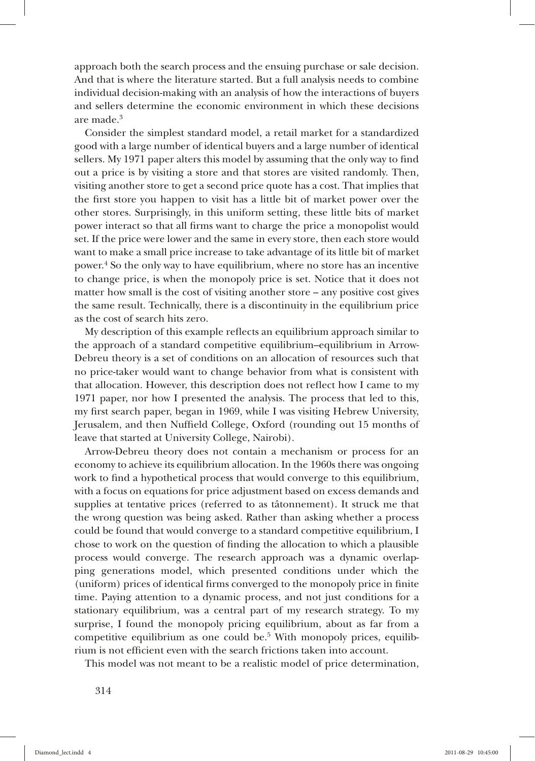approach both the search process and the ensuing purchase or sale decision. And that is where the literature started. But a full analysis needs to combine individual decision-making with an analysis of how the interactions of buyers and sellers determine the economic environment in which these decisions are made. 3

Consider the simplest standard model, a retail market for a standardized good with a large number of identical buyers and a large number of identical sellers. My 1971 paper alters this model by assuming that the only way to find out a price is by visiting a store and that stores are visited randomly. Then, visiting another store to get a second price quote has a cost. That implies that the first store you happen to visit has a little bit of market power over the other stores. Surprisingly, in this uniform setting, these little bits of market power interact so that all firms want to charge the price a monopolist would set. If the price were lower and the same in every store, then each store would want to make a small price increase to take advantage of its little bit of market power. 4 So the only way to have equilibrium, where no store has an incentive to change price, is when the monopoly price is set. Notice that it does not matter how small is the cost of visiting another store – any positive cost gives the same result. Technically, there is a discontinuity in the equilibrium price as the cost of search hits zero.

My description of this example reflects an equilibrium approach similar to the approach of a standard competitive equilibrium–equilibrium in Arrow-Debreu theory is a set of conditions on an allocation of resources such that no price-taker would want to change behavior from what is consistent with that allocation. However, this description does not reflect how I came to my 1971 paper, nor how I presented the analysis. The process that led to this, my first search paper, began in 1969, while I was visiting Hebrew University, Jerusalem, and then Nuffield College, Oxford (rounding out 15 months of leave that started at University College, Nairobi).

Arrow-Debreu theory does not contain a mechanism or process for an economy to achieve its equilibrium allocation. In the 1960s there was ongoing work to find a hypothetical process that would converge to this equilibrium, with a focus on equations for price adjustment based on excess demands and supplies at tentative prices (referred to as tâtonnement). It struck me that the wrong question was being asked. Rather than asking whether a process could be found that would converge to a standard competitive equilibrium, I chose to work on the question of finding the allocation to which a plausible process would converge. The research approach was a dynamic overlapping generations model, which presented conditions under which the (uniform) prices of identical firms converged to the monopoly price in finite time. Paying attention to a dynamic process, and not just conditions for a stationary equilibrium, was a central part of my research strategy. To my surprise, I found the monopoly pricing equilibrium, about as far from a competitive equilibrium as one could be. 5 With monopoly prices, equilibrium is not efficient even with the search frictions taken into account.

This model was not meant to be a realistic model of price determination,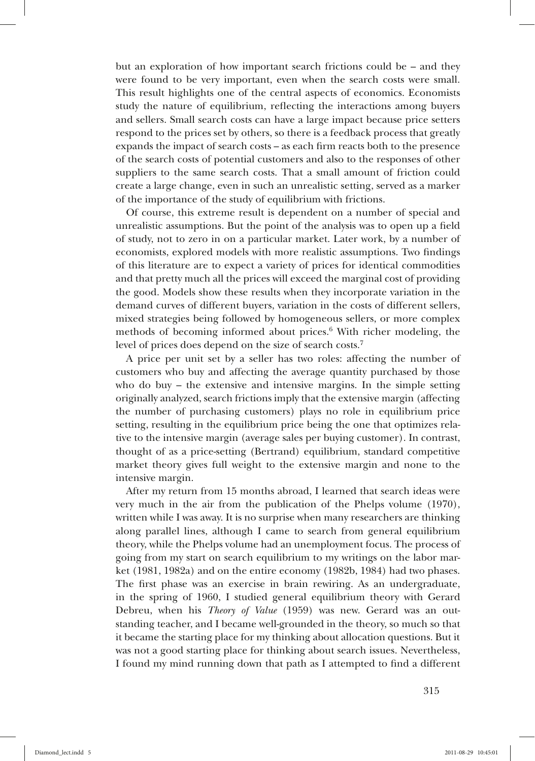but an exploration of how important search frictions could be – and they were found to be very important, even when the search costs were small. This result highlights one of the central aspects of economics. Economists study the nature of equilibrium, reflecting the interactions among buyers and sellers. Small search costs can have a large impact because price setters respond to the prices set by others, so there is a feedback process that greatly expands the impact of search costs – as each firm reacts both to the presence of the search costs of potential customers and also to the responses of other suppliers to the same search costs. That a small amount of friction could create a large change, even in such an unrealistic setting, served as a marker of the importance of the study of equilibrium with frictions.

Of course, this extreme result is dependent on a number of special and unrealistic assumptions. But the point of the analysis was to open up a field of study, not to zero in on a particular market. Later work, by a number of economists, explored models with more realistic assumptions. Two findings of this literature are to expect a variety of prices for identical commodities and that pretty much all the prices will exceed the marginal cost of providing the good. Models show these results when they incorporate variation in the demand curves of different buyers, variation in the costs of different sellers, mixed strategies being followed by homogeneous sellers, or more complex methods of becoming informed about prices. 6 With richer modeling, the level of prices does depend on the size of search costs. 7

A price per unit set by a seller has two roles: affecting the number of customers who buy and affecting the average quantity purchased by those who do buy – the extensive and intensive margins. In the simple setting originally analyzed, search frictions imply that the extensive margin (affecting the number of purchasing customers) plays no role in equilibrium price setting, resulting in the equilibrium price being the one that optimizes relative to the intensive margin (average sales per buying customer). In contrast, thought of as a price-setting (Bertrand) equilibrium, standard competitive market theory gives full weight to the extensive margin and none to the intensive margin.

After my return from 15 months abroad, I learned that search ideas were very much in the air from the publication of the Phelps volume (1970), written while I was away. It is no surprise when many researchers are thinking along parallel lines, although I came to search from general equilibrium theory, while the Phelps volume had an unemployment focus. The process of going from my start on search equilibrium to my writings on the labor market (1981, 1982a) and on the entire economy (1982b, 1984) had two phases. The first phase was an exercise in brain rewiring. As an undergraduate, in the spring of 1960, I studied general equilibrium theory with Gerard Debreu, when his *Theory of Value* (1959) was new. Gerard was an outstanding teacher, and I became well-grounded in the theory, so much so that it became the starting place for my thinking about allocation questions. But it was not a good starting place for thinking about search issues. Nevertheless, I found my mind running down that path as I attempted to find a different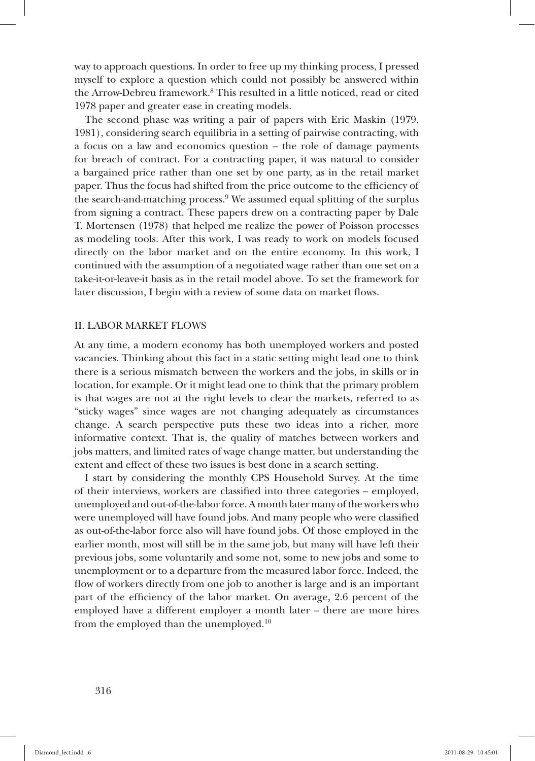way to approach questions. In order to free up my thinking process, I pressed myself to explore a question which could not possibly be answered within the Arrow-Debreu framework. 8 This resulted in a little noticed, read or cited 1978 paper and greater ease in creating models.

The second phase was writing a pair of papers with Eric Maskin (1979, 1981), considering search equilibria in a setting of pairwise contracting, with a focus on a law and economics question – the role of damage payments for breach of contract. For a contracting paper, it was natural to consider a bargained price rather than one set by one party, as in the retail market paper. Thus the focus had shifted from the price outcome to the efficiency of the search-and-matching process. 9 We assumed equal splitting of the surplus from signing a contract. These papers drew on a contracting paper by Dale T. Mortensen (1978) that helped me realize the power of Poisson processes as modeling tools. After this work, I was ready to work on models focused directly on the labor market and on the entire economy. In this work, I continued with the assumption of a negotiated wage rather than one set on a take-it-or-leave-it basis as in the retail model above. To set the framework for later discussion, I begin with a review of some data on market flows.

## II. LABOR MARKET FLOWS

At any time, a modern economy has both unemployed workers and posted vacancies. Thinking about this fact in a static setting might lead one to think there is a serious mismatch between the workers and the jobs, in skills or in location, for example. Or it might lead one to think that the primary problem is that wages are not at the right levels to clear the markets, referred to as "sticky wages" since wages are not changing adequately as circumstances change. A search perspective puts these two ideas into a richer, more informative context. That is, the quality of matches between workers and jobs matters, and limited rates of wage change matter, but understanding the extent and effect of these two issues is best done in a search setting.

I start by considering the monthly CPS Household Survey. At the time of their interviews, workers are classified into three categories – employed, unemployed and out-of-the-labor force. A month later many of the workers who were unemployed will have found jobs. And many people who were classified as out-of-the-labor force also will have found jobs. Of those employed in the earlier month, most will still be in the same job, but many will have left their previous jobs, some voluntarily and some not, some to new jobs and some to unemployment or to a departure from the measured labor force. Indeed, the flow of workers directly from one job to another is large and is an important part of the efficiency of the labor market. On average, 2.6 percent of the employed have a different employer a month later – there are more hires from the employed than the unemployed. $^{10}$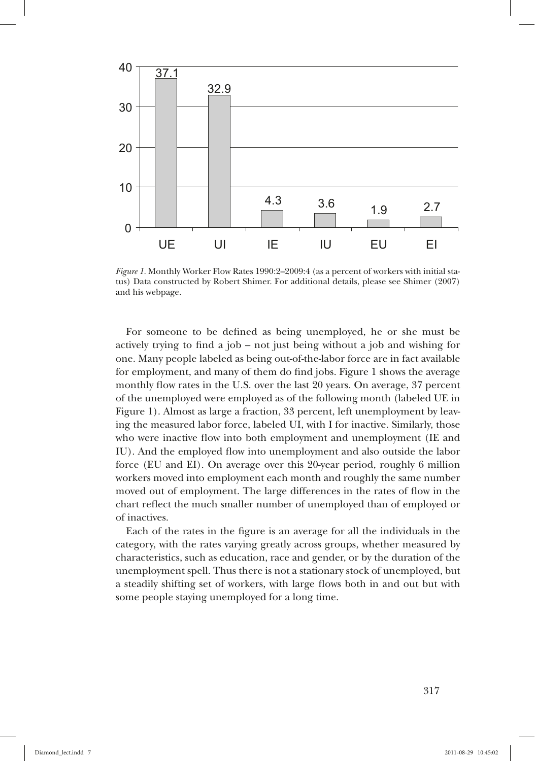

*Figure 1.* Monthly Worker Flow Rates 1990:2–2009:4 (as a percent of workers with initial status) Data constructed by Robert Shimer. For additional details, please see Shimer (2007) and his webpage.

For someone to be defined as being unemployed, he or she must be actively trying to find a job – not just being without a job and wishing for one. Many people labeled as being out-of-the-labor force are in fact available for employment, and many of them do find jobs. Figure 1 shows the average monthly flow rates in the U.S. over the last 20 years. On average, 37 percent of the unemployed were employed as of the following month (labeled UE in Figure 1). Almost as large a fraction, 33 percent, left unemployment by leaving the measured labor force, labeled UI, with I for inactive. Similarly, those who were inactive flow into both employment and unemployment (IE and IU). And the employed flow into unemployment and also outside the labor force (EU and EI). On average over this 20-year period, roughly 6 million workers moved into employment each month and roughly the same number moved out of employment. The large differences in the rates of flow in the chart reflect the much smaller number of unemployed than of employed or of inactives.

Each of the rates in the figure is an average for all the individuals in the category, with the rates varying greatly across groups, whether measured by characteristics, such as education, race and gender, or by the duration of the unemployment spell. Thus there is not a stationary stock of unemployed, but a steadily shifting set of workers, with large flows both in and out but with some people staying unemployed for a long time.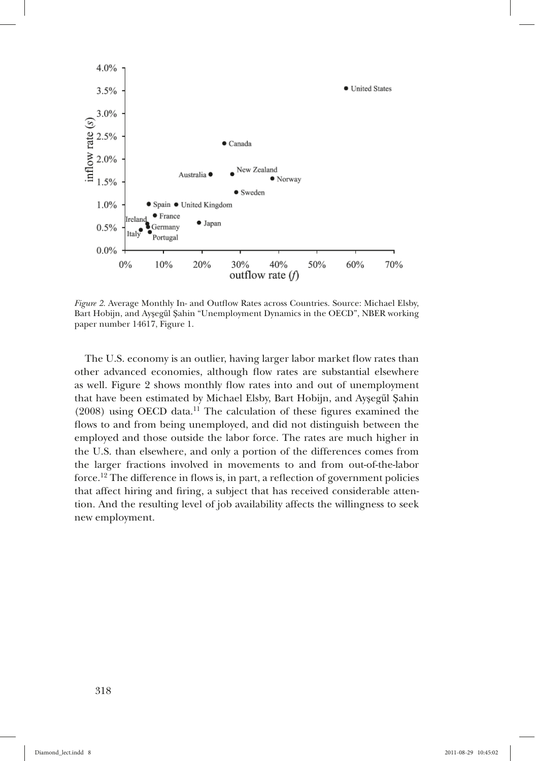

*Figure 2.* Average Monthly In- and Outflow Rates across Countries. Source: Michael Elsby, Bart Hobijn, and Ayşegül Şahin "Unemployment Dynamics in the OECD", NBER working paper number 14617, Figure 1.

The U.S. economy is an outlier, having larger labor market flow rates than other advanced economies, although flow rates are substantial elsewhere as well. Figure 2 shows monthly flow rates into and out of unemployment that have been estimated by Michael Elsby, Bart Hobijn, and Aysegül Sahin (2008) using OECD data. 11 The calculation of these figures examined the flows to and from being unemployed, and did not distinguish between the employed and those outside the labor force. The rates are much higher in the U.S. than elsewhere, and only a portion of the differences comes from the larger fractions involved in movements to and from out-of-the-labor force. 12 The difference in flows is, in part, a reflection of government policies that affect hiring and firing, a subject that has received considerable attention. And the resulting level of job availability affects the willingness to seek new employment.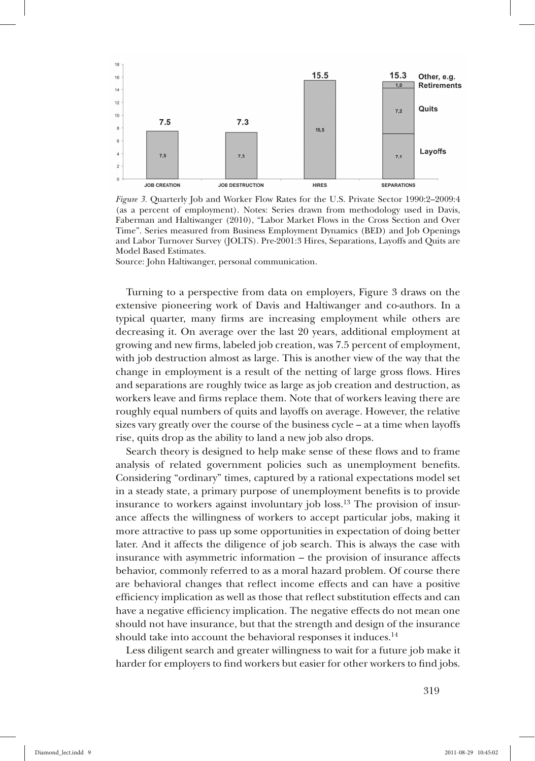

*Figure 3.* Quarterly Job and Worker Flow Rates for the U.S. Private Sector 1990:2–2009:4 (as a percent of employment). Notes: Series drawn from methodology used in Davis, Faberman and Haltiwanger (2010), "Labor Market Flows in the Cross Section and Over Time". Series measured from Business Employment Dynamics (BED) and Job Openings and Labor Turnover Survey (JOLTS). Pre-2001:3 Hires, Separations, Layoffs and Quits are Model Based Estimates.

Source: John Haltiwanger, personal communication.

Turning to a perspective from data on employers, Figure 3 draws on the extensive pioneering work of Davis and Haltiwanger and co-authors. In a typical quarter, many firms are increasing employment while others are decreasing it. On average over the last 20 years, additional employment at growing and new firms, labeled job creation, was 7.5 percent of employment, with job destruction almost as large. This is another view of the way that the change in employment is a result of the netting of large gross flows. Hires and separations are roughly twice as large as job creation and destruction, as workers leave and firms replace them. Note that of workers leaving there are roughly equal numbers of quits and layoffs on average. However, the relative sizes vary greatly over the course of the business cycle – at a time when layoffs rise, quits drop as the ability to land a new job also drops.

Search theory is designed to help make sense of these flows and to frame analysis of related government policies such as unemployment benefits. Considering "ordinary" times, captured by a rational expectations model set in a steady state, a primary purpose of unemployment benefits is to provide insurance to workers against involuntary job loss. 13 The provision of insurance affects the willingness of workers to accept particular jobs, making it more attractive to pass up some opportunities in expectation of doing better later. And it affects the diligence of job search. This is always the case with insurance with asymmetric information – the provision of insurance affects behavior, commonly referred to as a moral hazard problem. Of course there are behavioral changes that reflect income effects and can have a positive efficiency implication as well as those that reflect substitution effects and can have a negative efficiency implication. The negative effects do not mean one should not have insurance, but that the strength and design of the insurance should take into account the behavioral responses it induces. 14

Less diligent search and greater willingness to wait for a future job make it harder for employers to find workers but easier for other workers to find jobs.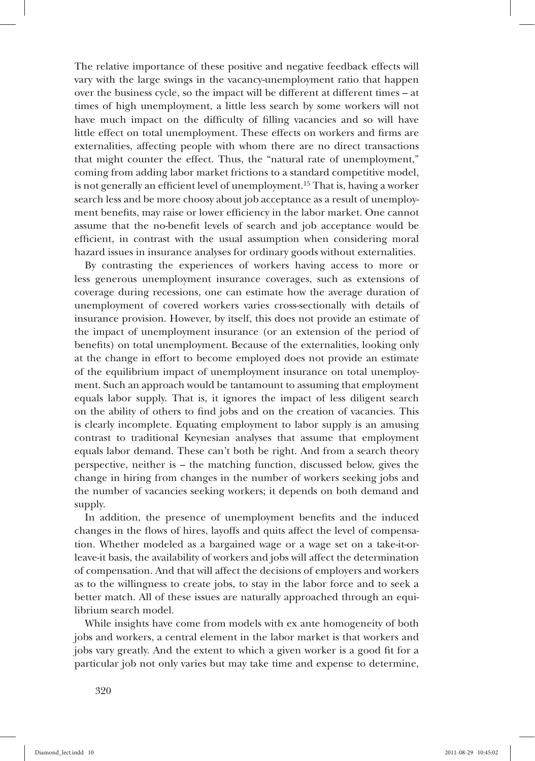The relative importance of these positive and negative feedback effects will vary with the large swings in the vacancy-unemployment ratio that happen over the business cycle, so the impact will be different at different times – at times of high unemployment, a little less search by some workers will not have much impact on the difficulty of filling vacancies and so will have little effect on total unemployment. These effects on workers and firms are externalities, affecting people with whom there are no direct transactions that might counter the effect. Thus, the "natural rate of unemployment," coming from adding labor market frictions to a standard competitive model, is not generally an efficient level of unemployment. 15 That is, having a worker search less and be more choosy about job acceptance as a result of unemployment benefits, may raise or lower efficiency in the labor market. One cannot assume that the no-benefit levels of search and job acceptance would be efficient, in contrast with the usual assumption when considering moral hazard issues in insurance analyses for ordinary goods without externalities.

By contrasting the experiences of workers having access to more or less generous unemployment insurance coverages, such as extensions of coverage during recessions, one can estimate how the average duration of unemployment of covered workers varies cross-sectionally with details of insurance provision. However, by itself, this does not provide an estimate of the impact of unemployment insurance (or an extension of the period of benefits) on total unemployment. Because of the externalities, looking only at the change in effort to become employed does not provide an estimate of the equilibrium impact of unemployment insurance on total unemployment. Such an approach would be tantamount to assuming that employment equals labor supply. That is, it ignores the impact of less diligent search on the ability of others to find jobs and on the creation of vacancies. This is clearly incomplete. Equating employment to labor supply is an amusing contrast to traditional Keynesian analyses that assume that employment equals labor demand. These can't both be right. And from a search theory perspective, neither is – the matching function, discussed below, gives the change in hiring from changes in the number of workers seeking jobs and the number of vacancies seeking workers; it depends on both demand and supply.

In addition, the presence of unemployment benefits and the induced changes in the flows of hires, layoffs and quits affect the level of compensation. Whether modeled as a bargained wage or a wage set on a take-it-orleave-it basis, the availability of workers and jobs will affect the determination of compensation. And that will affect the decisions of employers and workers as to the willingness to create jobs, to stay in the labor force and to seek a better match. All of these issues are naturally approached through an equilibrium search model.

While insights have come from models with ex ante homogeneity of both jobs and workers, a central element in the labor market is that workers and jobs vary greatly. And the extent to which a given worker is a good fit for a particular job not only varies but may take time and expense to determine,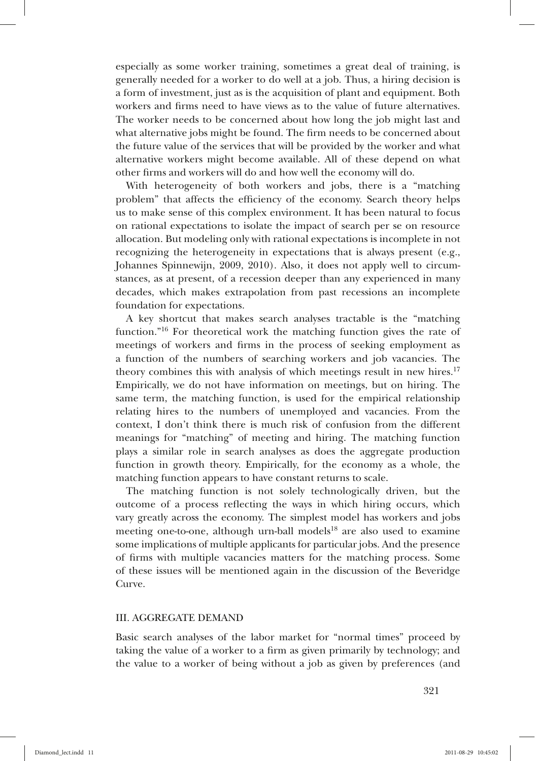especially as some worker training, sometimes a great deal of training, is generally needed for a worker to do well at a job. Thus, a hiring decision is a form of investment, just as is the acquisition of plant and equipment. Both workers and firms need to have views as to the value of future alternatives. The worker needs to be concerned about how long the job might last and what alternative jobs might be found. The firm needs to be concerned about the future value of the services that will be provided by the worker and what alternative workers might become available. All of these depend on what other firms and workers will do and how well the economy will do.

With heterogeneity of both workers and jobs, there is a "matching problem" that affects the efficiency of the economy. Search theory helps us to make sense of this complex environment. It has been natural to focus on rational expectations to isolate the impact of search per se on resource allocation. But modeling only with rational expectations is incomplete in not recognizing the heterogeneity in expectations that is always present (e.g., Johannes Spinnewijn, 2009, 2010). Also, it does not apply well to circumstances, as at present, of a recession deeper than any experienced in many decades, which makes extrapolation from past recessions an incomplete foundation for expectations.

A key shortcut that makes search analyses tractable is the "matching function."16 For theoretical work the matching function gives the rate of meetings of workers and firms in the process of seeking employment as a function of the numbers of searching workers and job vacancies. The theory combines this with analysis of which meetings result in new hires. 17 Empirically, we do not have information on meetings, but on hiring. The same term, the matching function, is used for the empirical relationship relating hires to the numbers of unemployed and vacancies. From the context, I don't think there is much risk of confusion from the different meanings for "matching" of meeting and hiring. The matching function plays a similar role in search analyses as does the aggregate production function in growth theory. Empirically, for the economy as a whole, the matching function appears to have constant returns to scale.

The matching function is not solely technologically driven, but the outcome of a process reflecting the ways in which hiring occurs, which vary greatly across the economy. The simplest model has workers and jobs meeting one-to-one, although urn-ball models $18$  are also used to examine some implications of multiple applicants for particular jobs. And the presence of firms with multiple vacancies matters for the matching process. Some of these issues will be mentioned again in the discussion of the Beveridge Curve.

## III. AGGREGATE DEMAND

Basic search analyses of the labor market for "normal times" proceed by taking the value of a worker to a firm as given primarily by technology; and the value to a worker of being without a job as given by preferences (and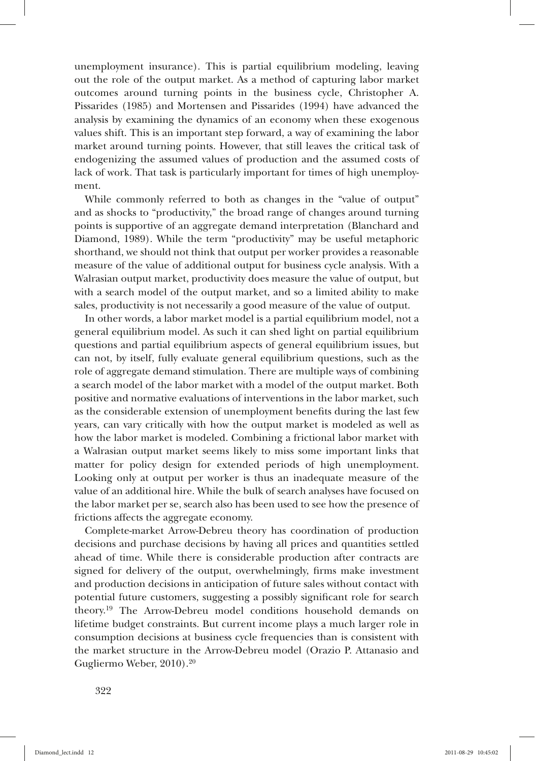unemployment insurance). This is partial equilibrium modeling, leaving out the role of the output market. As a method of capturing labor market outcomes around turning points in the business cycle, Christopher A. Pissarides (1985) and Mortensen and Pissarides (1994) have advanced the analysis by examining the dynamics of an economy when these exogenous values shift. This is an important step forward, a way of examining the labor market around turning points. However, that still leaves the critical task of endogenizing the assumed values of production and the assumed costs of lack of work. That task is particularly important for times of high unemployment.

While commonly referred to both as changes in the "value of output" and as shocks to "productivity," the broad range of changes around turning points is supportive of an aggregate demand interpretation (Blanchard and Diamond, 1989). While the term "productivity" may be useful metaphoric shorthand, we should not think that output per worker provides a reasonable measure of the value of additional output for business cycle analysis. With a Walrasian output market, productivity does measure the value of output, but with a search model of the output market, and so a limited ability to make sales, productivity is not necessarily a good measure of the value of output.

In other words, a labor market model is a partial equilibrium model, not a general equilibrium model. As such it can shed light on partial equilibrium questions and partial equilibrium aspects of general equilibrium issues, but can not, by itself, fully evaluate general equilibrium questions, such as the role of aggregate demand stimulation. There are multiple ways of combining a search model of the labor market with a model of the output market. Both positive and normative evaluations of interventions in the labor market, such as the considerable extension of unemployment benefits during the last few years, can vary critically with how the output market is modeled as well as how the labor market is modeled. Combining a frictional labor market with a Walrasian output market seems likely to miss some important links that matter for policy design for extended periods of high unemployment. Looking only at output per worker is thus an inadequate measure of the value of an additional hire. While the bulk of search analyses have focused on the labor market per se, search also has been used to see how the presence of frictions affects the aggregate economy.

Complete-market Arrow-Debreu theory has coordination of production decisions and purchase decisions by having all prices and quantities settled ahead of time. While there is considerable production after contracts are signed for delivery of the output, overwhelmingly, firms make investment and production decisions in anticipation of future sales without contact with potential future customers, suggesting a possibly significant role for search theory. 19 The Arrow-Debreu model conditions household demands on lifetime budget constraints. But current income plays a much larger role in consumption decisions at business cycle frequencies than is consistent with the market structure in the Arrow-Debreu model (Orazio P. Attanasio and Gugliermo Weber, 2010). 20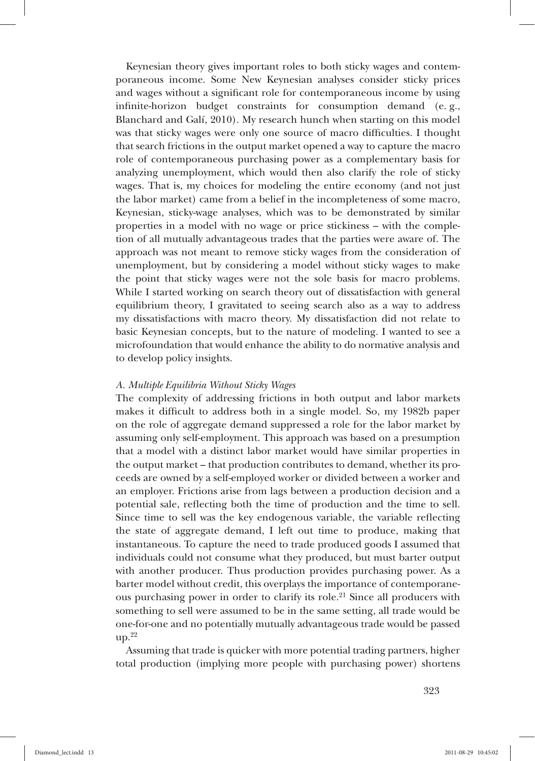Keynesian theory gives important roles to both sticky wages and contemporaneous income. Some New Keynesian analyses consider sticky prices and wages without a significant role for contemporaneous income by using infinite-horizon budget constraints for consumption demand (e. g., Blanchard and Galí, 2010). My research hunch when starting on this model was that sticky wages were only one source of macro difficulties. I thought that search frictions in the output market opened a way to capture the macro role of contemporaneous purchasing power as a complementary basis for analyzing unemployment, which would then also clarify the role of sticky wages. That is, my choices for modeling the entire economy (and not just the labor market) came from a belief in the incompleteness of some macro, Keynesian, sticky-wage analyses, which was to be demonstrated by similar properties in a model with no wage or price stickiness – with the completion of all mutually advantageous trades that the parties were aware of. The approach was not meant to remove sticky wages from the consideration of unemployment, but by considering a model without sticky wages to make the point that sticky wages were not the sole basis for macro problems. While I started working on search theory out of dissatisfaction with general equilibrium theory, I gravitated to seeing search also as a way to address my dissatisfactions with macro theory. My dissatisfaction did not relate to basic Keynesian concepts, but to the nature of modeling. I wanted to see a microfoundation that would enhance the ability to do normative analysis and to develop policy insights.

### *A. Multiple Equilibria Without Sticky Wages*

The complexity of addressing frictions in both output and labor markets makes it difficult to address both in a single model. So, my 1982b paper on the role of aggregate demand suppressed a role for the labor market by assuming only self-employment. This approach was based on a presumption that a model with a distinct labor market would have similar properties in the output market – that production contributes to demand, whether its proceeds are owned by a self-employed worker or divided between a worker and an employer. Frictions arise from lags between a production decision and a potential sale, reflecting both the time of production and the time to sell. Since time to sell was the key endogenous variable, the variable reflecting the state of aggregate demand, I left out time to produce, making that instantaneous. To capture the need to trade produced goods I assumed that individuals could not consume what they produced, but must barter output with another producer. Thus production provides purchasing power. As a barter model without credit, this overplays the importance of contemporaneous purchasing power in order to clarify its role. 21 Since all producers with something to sell were assumed to be in the same setting, all trade would be one-for-one and no potentially mutually advantageous trade would be passed  $up.^{22}$ 

Assuming that trade is quicker with more potential trading partners, higher total production (implying more people with purchasing power) shortens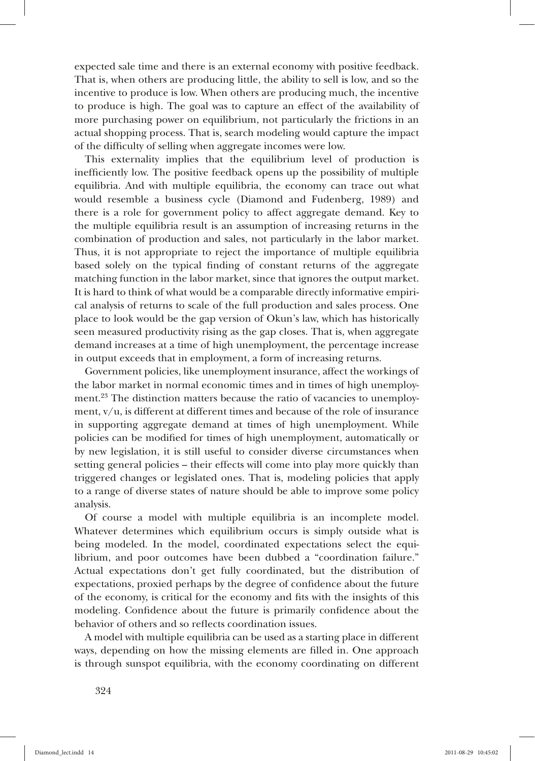expected sale time and there is an external economy with positive feedback. That is, when others are producing little, the ability to sell is low, and so the incentive to produce is low. When others are producing much, the incentive to produce is high. The goal was to capture an effect of the availability of more purchasing power on equilibrium, not particularly the frictions in an actual shopping process. That is, search modeling would capture the impact of the difficulty of selling when aggregate incomes were low.

This externality implies that the equilibrium level of production is inefficiently low. The positive feedback opens up the possibility of multiple equilibria. And with multiple equilibria, the economy can trace out what would resemble a business cycle (Diamond and Fudenberg, 1989) and there is a role for government policy to affect aggregate demand. Key to the multiple equilibria result is an assumption of increasing returns in the combination of production and sales, not particularly in the labor market. Thus, it is not appropriate to reject the importance of multiple equilibria based solely on the typical finding of constant returns of the aggregate matching function in the labor market, since that ignores the output market. It is hard to think of what would be a comparable directly informative empirical analysis of returns to scale of the full production and sales process. One place to look would be the gap version of Okun's law, which has historically seen measured productivity rising as the gap closes. That is, when aggregate demand increases at a time of high unemployment, the percentage increase in output exceeds that in employment, a form of increasing returns.

Government policies, like unemployment insurance, affect the workings of the labor market in normal economic times and in times of high unemployment. 23 The distinction matters because the ratio of vacancies to unemployment, v/u, is different at different times and because of the role of insurance in supporting aggregate demand at times of high unemployment. While policies can be modified for times of high unemployment, automatically or by new legislation, it is still useful to consider diverse circumstances when setting general policies – their effects will come into play more quickly than triggered changes or legislated ones. That is, modeling policies that apply to a range of diverse states of nature should be able to improve some policy analysis.

Of course a model with multiple equilibria is an incomplete model. Whatever determines which equilibrium occurs is simply outside what is being modeled. In the model, coordinated expectations select the equilibrium, and poor outcomes have been dubbed a "coordination failure." Actual expectations don't get fully coordinated, but the distribution of expectations, proxied perhaps by the degree of confidence about the future of the economy, is critical for the economy and fits with the insights of this modeling. Confidence about the future is primarily confidence about the behavior of others and so reflects coordination issues.

A model with multiple equilibria can be used as a starting place in different ways, depending on how the missing elements are filled in. One approach is through sunspot equilibria, with the economy coordinating on different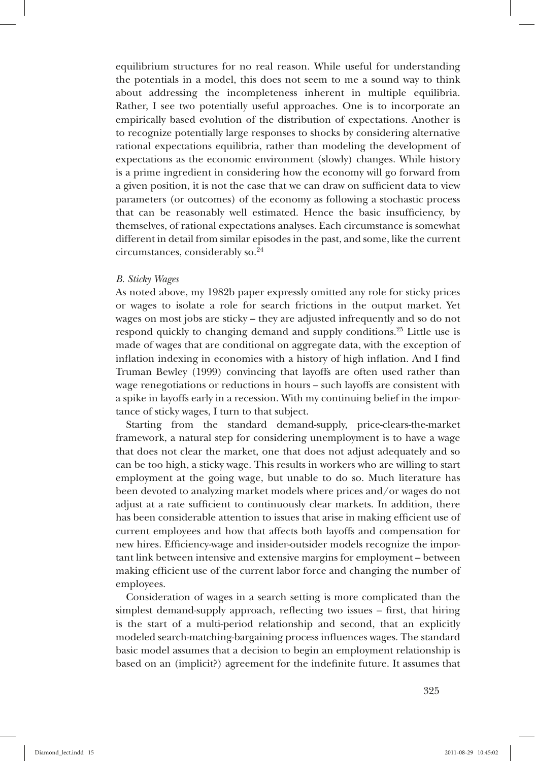equilibrium structures for no real reason. While useful for understanding the potentials in a model, this does not seem to me a sound way to think about addressing the incompleteness inherent in multiple equilibria. Rather, I see two potentially useful approaches. One is to incorporate an empirically based evolution of the distribution of expectations. Another is to recognize potentially large responses to shocks by considering alternative rational expectations equilibria, rather than modeling the development of expectations as the economic environment (slowly) changes. While history is a prime ingredient in considering how the economy will go forward from a given position, it is not the case that we can draw on sufficient data to view parameters (or outcomes) of the economy as following a stochastic process that can be reasonably well estimated. Hence the basic insufficiency, by themselves, of rational expectations analyses. Each circumstance is somewhat different in detail from similar episodes in the past, and some, like the current circumstances, considerably so. 24

#### *B. Sticky Wages*

As noted above, my 1982b paper expressly omitted any role for sticky prices or wages to isolate a role for search frictions in the output market. Yet wages on most jobs are sticky – they are adjusted infrequently and so do not respond quickly to changing demand and supply conditions. 25 Little use is made of wages that are conditional on aggregate data, with the exception of inflation indexing in economies with a history of high inflation. And I find Truman Bewley (1999) convincing that layoffs are often used rather than wage renegotiations or reductions in hours – such layoffs are consistent with a spike in layoffs early in a recession. With my continuing belief in the importance of sticky wages, I turn to that subject.

Starting from the standard demand-supply, price-clears-the-market framework, a natural step for considering unemployment is to have a wage that does not clear the market, one that does not adjust adequately and so can be too high, a sticky wage. This results in workers who are willing to start employment at the going wage, but unable to do so. Much literature has been devoted to analyzing market models where prices and/or wages do not adjust at a rate sufficient to continuously clear markets. In addition, there has been considerable attention to issues that arise in making efficient use of current employees and how that affects both layoffs and compensation for new hires. Efficiency-wage and insider-outsider models recognize the important link between intensive and extensive margins for employment – between making efficient use of the current labor force and changing the number of employees.

Consideration of wages in a search setting is more complicated than the simplest demand-supply approach, reflecting two issues – first, that hiring is the start of a multi-period relationship and second, that an explicitly modeled search-matching-bargaining process influences wages. The standard basic model assumes that a decision to begin an employment relationship is based on an (implicit?) agreement for the indefinite future. It assumes that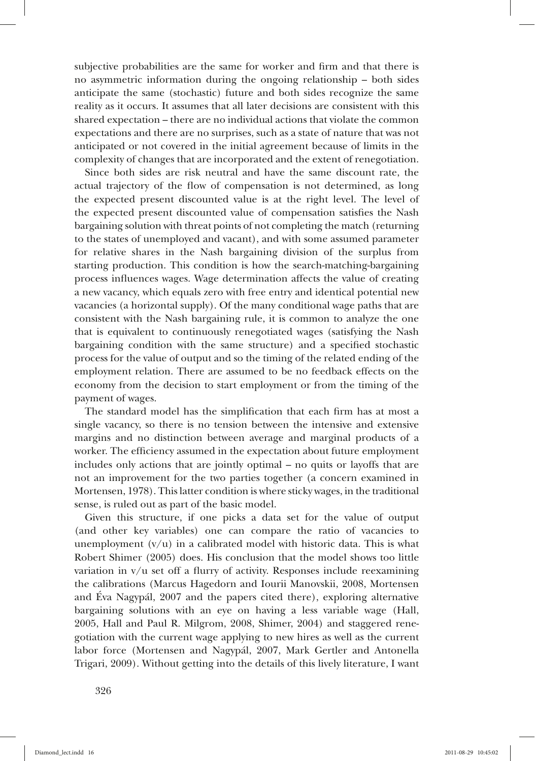subjective probabilities are the same for worker and firm and that there is no asymmetric information during the ongoing relationship – both sides anticipate the same (stochastic) future and both sides recognize the same reality as it occurs. It assumes that all later decisions are consistent with this shared expectation – there are no individual actions that violate the common expectations and there are no surprises, such as a state of nature that was not anticipated or not covered in the initial agreement because of limits in the complexity of changes that are incorporated and the extent of renegotiation.

Since both sides are risk neutral and have the same discount rate, the actual trajectory of the flow of compensation is not determined, as long the expected present discounted value is at the right level. The level of the expected present discounted value of compensation satisfies the Nash bargaining solution with threat points of not completing the match (returning to the states of unemployed and vacant), and with some assumed parameter for relative shares in the Nash bargaining division of the surplus from starting production. This condition is how the search-matching-bargaining process influences wages. Wage determination affects the value of creating a new vacancy, which equals zero with free entry and identical potential new vacancies (a horizontal supply). Of the many conditional wage paths that are consistent with the Nash bargaining rule, it is common to analyze the one that is equivalent to continuously renegotiated wages (satisfying the Nash bargaining condition with the same structure) and a specified stochastic process for the value of output and so the timing of the related ending of the employment relation. There are assumed to be no feedback effects on the economy from the decision to start employment or from the timing of the payment of wages.

The standard model has the simplification that each firm has at most a single vacancy, so there is no tension between the intensive and extensive margins and no distinction between average and marginal products of a worker. The efficiency assumed in the expectation about future employment includes only actions that are jointly optimal – no quits or layoffs that are not an improvement for the two parties together (a concern examined in Mortensen, 1978). This latter condition is where sticky wages, in the traditional sense, is ruled out as part of the basic model.

Given this structure, if one picks a data set for the value of output (and other key variables) one can compare the ratio of vacancies to unemployment  $(v/u)$  in a calibrated model with historic data. This is what Robert Shimer (2005) does. His conclusion that the model shows too little variation in  $v/u$  set off a flurry of activity. Responses include reexamining the calibrations (Marcus Hagedorn and Iourii Manovskii, 2008, Mortensen and Éva Nagypál, 2007 and the papers cited there), exploring alternative bargaining solutions with an eye on having a less variable wage (Hall, 2005, Hall and Paul R. Milgrom, 2008, Shimer, 2004) and staggered renegotiation with the current wage applying to new hires as well as the current labor force (Mortensen and Nagypál, 2007, Mark Gertler and Antonella Trigari, 2009). Without getting into the details of this lively literature, I want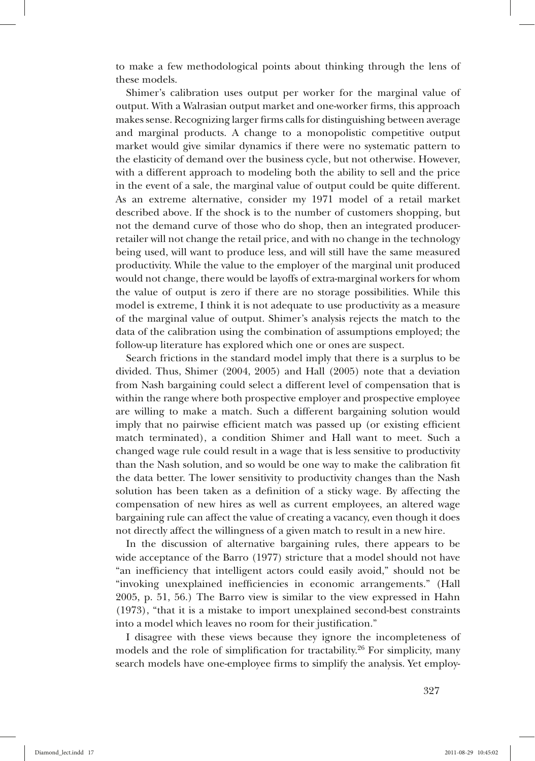to make a few methodological points about thinking through the lens of these models.

Shimer's calibration uses output per worker for the marginal value of output. With a Walrasian output market and one-worker firms, this approach makes sense. Recognizing larger firms calls for distinguishing between average and marginal products. A change to a monopolistic competitive output market would give similar dynamics if there were no systematic pattern to the elasticity of demand over the business cycle, but not otherwise. However, with a different approach to modeling both the ability to sell and the price in the event of a sale, the marginal value of output could be quite different. As an extreme alternative, consider my 1971 model of a retail market described above. If the shock is to the number of customers shopping, but not the demand curve of those who do shop, then an integrated producerretailer will not change the retail price, and with no change in the technology being used, will want to produce less, and will still have the same measured productivity. While the value to the employer of the marginal unit produced would not change, there would be layoffs of extra-marginal workers for whom the value of output is zero if there are no storage possibilities. While this model is extreme, I think it is not adequate to use productivity as a measure of the marginal value of output. Shimer's analysis rejects the match to the data of the calibration using the combination of assumptions employed; the follow-up literature has explored which one or ones are suspect.

Search frictions in the standard model imply that there is a surplus to be divided. Thus, Shimer (2004, 2005) and Hall (2005) note that a deviation from Nash bargaining could select a different level of compensation that is within the range where both prospective employer and prospective employee are willing to make a match. Such a different bargaining solution would imply that no pairwise efficient match was passed up (or existing efficient match terminated), a condition Shimer and Hall want to meet. Such a changed wage rule could result in a wage that is less sensitive to productivity than the Nash solution, and so would be one way to make the calibration fit the data better. The lower sensitivity to productivity changes than the Nash solution has been taken as a definition of a sticky wage. By affecting the compensation of new hires as well as current employees, an altered wage bargaining rule can affect the value of creating a vacancy, even though it does not directly affect the willingness of a given match to result in a new hire.

In the discussion of alternative bargaining rules, there appears to be wide acceptance of the Barro (1977) stricture that a model should not have "an inefficiency that intelligent actors could easily avoid," should not be "invoking unexplained inefficiencies in economic arrangements." (Hall 2005, p. 51, 56.) The Barro view is similar to the view expressed in Hahn (1973), "that it is a mistake to import unexplained second-best constraints into a model which leaves no room for their justification."

I disagree with these views because they ignore the incompleteness of models and the role of simplification for tractability. 26 For simplicity, many search models have one-employee firms to simplify the analysis. Yet employ-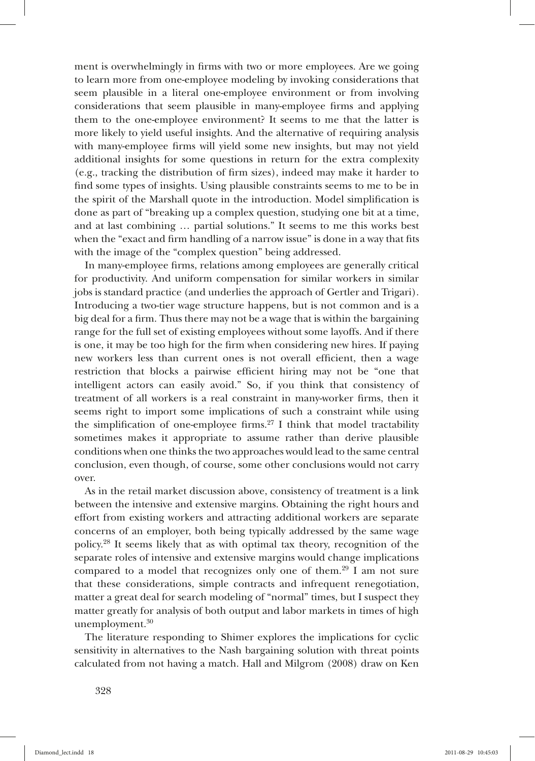ment is overwhelmingly in firms with two or more employees. Are we going to learn more from one-employee modeling by invoking considerations that seem plausible in a literal one-employee environment or from involving considerations that seem plausible in many-employee firms and applying them to the one-employee environment? It seems to me that the latter is more likely to yield useful insights. And the alternative of requiring analysis with many-employee firms will yield some new insights, but may not yield additional insights for some questions in return for the extra complexity (e.g., tracking the distribution of firm sizes), indeed may make it harder to find some types of insights. Using plausible constraints seems to me to be in the spirit of the Marshall quote in the introduction. Model simplification is done as part of "breaking up a complex question, studying one bit at a time, and at last combining … partial solutions." It seems to me this works best when the "exact and firm handling of a narrow issue" is done in a way that fits with the image of the "complex question" being addressed.

In many-employee firms, relations among employees are generally critical for productivity. And uniform compensation for similar workers in similar jobs is standard practice (and underlies the approach of Gertler and Trigari). Introducing a two-tier wage structure happens, but is not common and is a big deal for a firm. Thus there may not be a wage that is within the bargaining range for the full set of existing employees without some layoffs. And if there is one, it may be too high for the firm when considering new hires. If paying new workers less than current ones is not overall efficient, then a wage restriction that blocks a pairwise efficient hiring may not be "one that intelligent actors can easily avoid." So, if you think that consistency of treatment of all workers is a real constraint in many-worker firms, then it seems right to import some implications of such a constraint while using the simplification of one-employee firms. 27 I think that model tractability sometimes makes it appropriate to assume rather than derive plausible conditions when one thinks the two approaches would lead to the same central conclusion, even though, of course, some other conclusions would not carry over.

As in the retail market discussion above, consistency of treatment is a link between the intensive and extensive margins. Obtaining the right hours and effort from existing workers and attracting additional workers are separate concerns of an employer, both being typically addressed by the same wage policy. 28 It seems likely that as with optimal tax theory, recognition of the separate roles of intensive and extensive margins would change implications compared to a model that recognizes only one of them. 29 I am not sure that these considerations, simple contracts and infrequent renegotiation, matter a great deal for search modeling of "normal" times, but I suspect they matter greatly for analysis of both output and labor markets in times of high unemployment. 30

The literature responding to Shimer explores the implications for cyclic sensitivity in alternatives to the Nash bargaining solution with threat points calculated from not having a match. Hall and Milgrom (2008) draw on Ken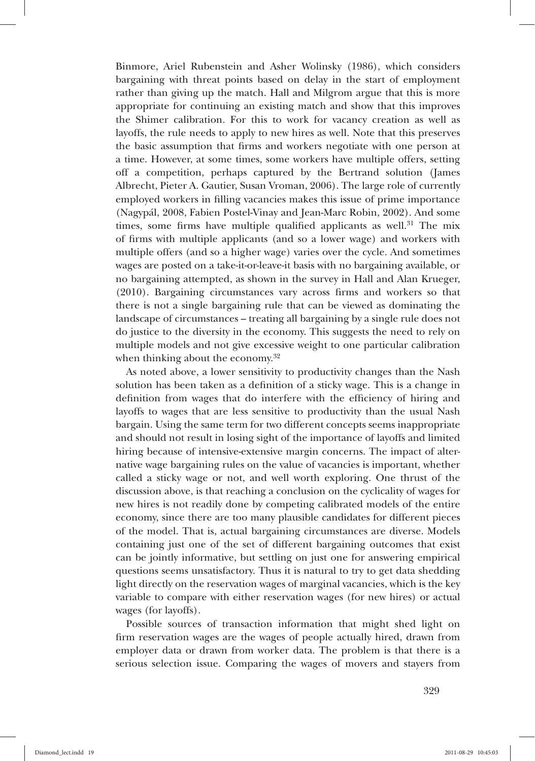Binmore, Ariel Rubenstein and Asher Wolinsky (1986), which considers bargaining with threat points based on delay in the start of employment rather than giving up the match. Hall and Milgrom argue that this is more appropriate for continuing an existing match and show that this improves the Shimer calibration. For this to work for vacancy creation as well as layoffs, the rule needs to apply to new hires as well. Note that this preserves the basic assumption that firms and workers negotiate with one person at a time. However, at some times, some workers have multiple offers, setting off a competition, perhaps captured by the Bertrand solution (James Albrecht, Pieter A. Gautier, Susan Vroman, 2006). The large role of currently employed workers in filling vacancies makes this issue of prime importance (Nagypál, 2008, Fabien Postel-Vinay and Jean-Marc Robin, 2002). And some times, some firms have multiple qualified applicants as well.<sup>31</sup> The mix of firms with multiple applicants (and so a lower wage) and workers with multiple offers (and so a higher wage) varies over the cycle. And sometimes wages are posted on a take-it-or-leave-it basis with no bargaining available, or no bargaining attempted, as shown in the survey in Hall and Alan Krueger, (2010). Bargaining circumstances vary across firms and workers so that there is not a single bargaining rule that can be viewed as dominating the landscape of circumstances – treating all bargaining by a single rule does not do justice to the diversity in the economy. This suggests the need to rely on multiple models and not give excessive weight to one particular calibration when thinking about the economy. 32

As noted above, a lower sensitivity to productivity changes than the Nash solution has been taken as a definition of a sticky wage. This is a change in definition from wages that do interfere with the efficiency of hiring and layoffs to wages that are less sensitive to productivity than the usual Nash bargain. Using the same term for two different concepts seems inappropriate and should not result in losing sight of the importance of layoffs and limited hiring because of intensive-extensive margin concerns. The impact of alternative wage bargaining rules on the value of vacancies is important, whether called a sticky wage or not, and well worth exploring. One thrust of the discussion above, is that reaching a conclusion on the cyclicality of wages for new hires is not readily done by competing calibrated models of the entire economy, since there are too many plausible candidates for different pieces of the model. That is, actual bargaining circumstances are diverse. Models containing just one of the set of different bargaining outcomes that exist can be jointly informative, but settling on just one for answering empirical questions seems unsatisfactory. Thus it is natural to try to get data shedding light directly on the reservation wages of marginal vacancies, which is the key variable to compare with either reservation wages (for new hires) or actual wages (for layoffs).

Possible sources of transaction information that might shed light on firm reservation wages are the wages of people actually hired, drawn from employer data or drawn from worker data. The problem is that there is a serious selection issue. Comparing the wages of movers and stayers from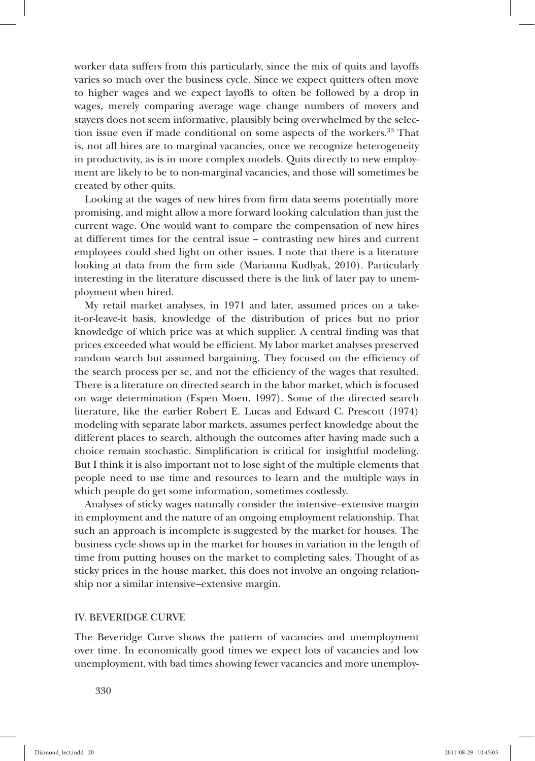worker data suffers from this particularly, since the mix of quits and layoffs varies so much over the business cycle. Since we expect quitters often move to higher wages and we expect layoffs to often be followed by a drop in wages, merely comparing average wage change numbers of movers and stayers does not seem informative, plausibly being overwhelmed by the selection issue even if made conditional on some aspects of the workers. 33 That is, not all hires are to marginal vacancies, once we recognize heterogeneity in productivity, as is in more complex models. Quits directly to new employment are likely to be to non-marginal vacancies, and those will sometimes be created by other quits.

Looking at the wages of new hires from firm data seems potentially more promising, and might allow a more forward looking calculation than just the current wage. One would want to compare the compensation of new hires at different times for the central issue – contrasting new hires and current employees could shed light on other issues. I note that there is a literature looking at data from the firm side (Marianna Kudlyak, 2010). Particularly interesting in the literature discussed there is the link of later pay to unemployment when hired.

My retail market analyses, in 1971 and later, assumed prices on a takeit-or-leave-it basis, knowledge of the distribution of prices but no prior knowledge of which price was at which supplier. A central finding was that prices exceeded what would be efficient. My labor market analyses preserved random search but assumed bargaining. They focused on the efficiency of the search process per se, and not the efficiency of the wages that resulted. There is a literature on directed search in the labor market, which is focused on wage determination (Espen Moen, 1997). Some of the directed search literature, like the earlier Robert E. Lucas and Edward C. Prescott (1974) modeling with separate labor markets, assumes perfect knowledge about the different places to search, although the outcomes after having made such a choice remain stochastic. Simplification is critical for insightful modeling. But I think it is also important not to lose sight of the multiple elements that people need to use time and resources to learn and the multiple ways in which people do get some information, sometimes costlessly.

Analyses of sticky wages naturally consider the intensive–extensive margin in employment and the nature of an ongoing employment relationship. That such an approach is incomplete is suggested by the market for houses. The business cycle shows up in the market for houses in variation in the length of time from putting houses on the market to completing sales. Thought of as sticky prices in the house market, this does not involve an ongoing relationship nor a similar intensive–extensive margin.

#### IV. BEVERIDGE CURVE

The Beveridge Curve shows the pattern of vacancies and unemployment over time. In economically good times we expect lots of vacancies and low unemployment, with bad times showing fewer vacancies and more unemploy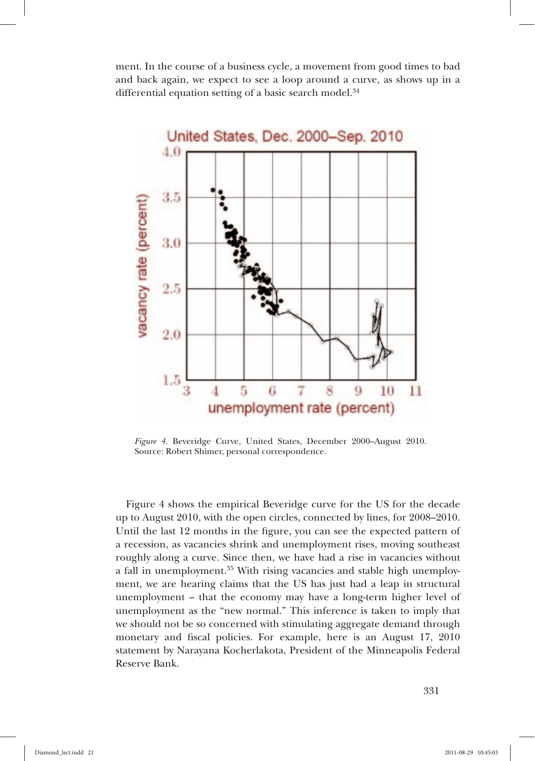ment. In the course of a business cycle, a movement from good times to bad and back again, we expect to see a loop around a curve, as shows up in a differential equation setting of a basic search model. 34



*Figure 4.* Beveridge Curve, United States, December 2000–August 2010. Source: Robert Shimer, personal correspondence.

Figure 4 shows the empirical Beveridge curve for the US for the decade up to August 2010, with the open circles, connected by lines, for 2008–2010. Until the last 12 months in the figure, you can see the expected pattern of a recession, as vacancies shrink and unemployment rises, moving southeast roughly along a curve. Since then, we have had a rise in vacancies without a fall in unemployment. 35 With rising vacancies and stable high unemployment, we are hearing claims that the US has just had a leap in structural unemployment – that the economy may have a long-term higher level of unemployment as the "new normal." This inference is taken to imply that we should not be so concerned with stimulating aggregate demand through monetary and fiscal policies. For example, here is an August 17, 2010 statement by Narayana Kocherlakota, President of the Minneapolis Federal Reserve Bank.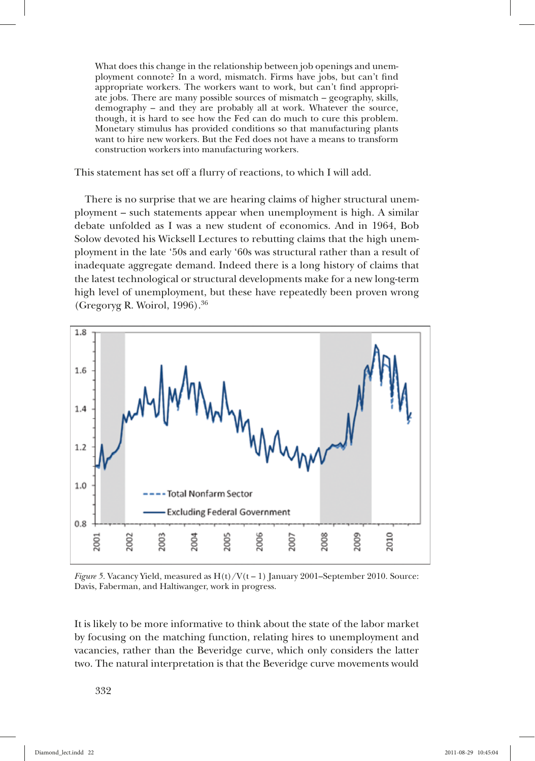What does this change in the relationship between job openings and unemployment connote? In a word, mismatch. Firms have jobs, but can't find appropriate workers. The workers want to work, but can't find appropriate jobs. There are many possible sources of mismatch – geography, skills, demography – and they are probably all at work. Whatever the source, though, it is hard to see how the Fed can do much to cure this problem. Monetary stimulus has provided conditions so that manufacturing plants want to hire new workers. But the Fed does not have a means to transform construction workers into manufacturing workers.

This statement has set off a flurry of reactions, to which I will add.

There is no surprise that we are hearing claims of higher structural unemployment – such statements appear when unemployment is high. A similar debate unfolded as I was a new student of economics. And in 1964, Bob Solow devoted his Wicksell Lectures to rebutting claims that the high unemployment in the late '50s and early '60s was structural rather than a result of inadequate aggregate demand. Indeed there is a long history of claims that the latest technological or structural developments make for a new long-term high level of unemployment, but these have repeatedly been proven wrong (Gregoryg R. Woirol, 1996). 36



*Figure 5*. Vacancy Yield, measured as  $H(t)/V(t-1)$  January 2001–September 2010. Source: Davis, Faberman, and Haltiwanger, work in progress.

It is likely to be more informative to think about the state of the labor market by focusing on the matching function, relating hires to unemployment and vacancies, rather than the Beveridge curve, which only considers the latter two. The natural interpretation is that the Beveridge curve movements would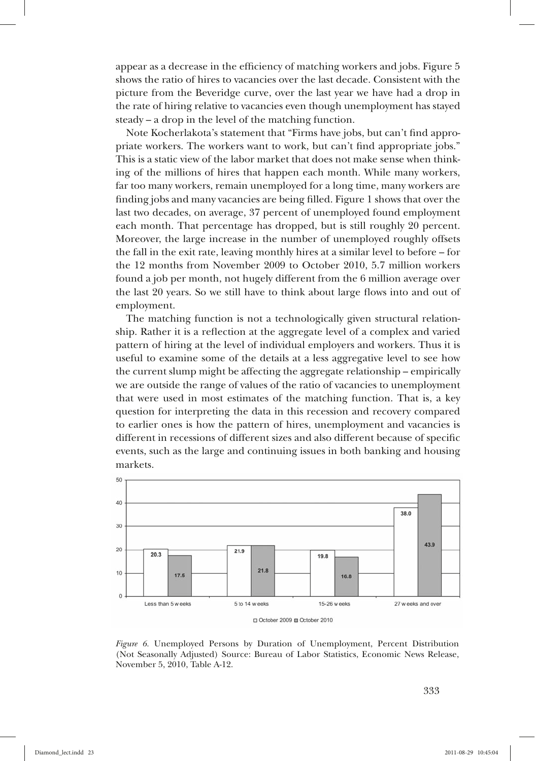appear as a decrease in the efficiency of matching workers and jobs. Figure 5 shows the ratio of hires to vacancies over the last decade. Consistent with the picture from the Beveridge curve, over the last year we have had a drop in the rate of hiring relative to vacancies even though unemployment has stayed steady – a drop in the level of the matching function.

Note Kocherlakota's statement that "Firms have jobs, but can't find appropriate workers. The workers want to work, but can't find appropriate jobs." This is a static view of the labor market that does not make sense when thinking of the millions of hires that happen each month. While many workers, far too many workers, remain unemployed for a long time, many workers are finding jobs and many vacancies are being filled. Figure 1 shows that over the last two decades, on average, 37 percent of unemployed found employment each month. That percentage has dropped, but is still roughly 20 percent. Moreover, the large increase in the number of unemployed roughly offsets the fall in the exit rate, leaving monthly hires at a similar level to before – for the 12 months from November 2009 to October 2010, 5.7 million workers found a job per month, not hugely different from the 6 million average over the last 20 years. So we still have to think about large flows into and out of employment.

The matching function is not a technologically given structural relationship. Rather it is a reflection at the aggregate level of a complex and varied pattern of hiring at the level of individual employers and workers. Thus it is useful to examine some of the details at a less aggregative level to see how the current slump might be affecting the aggregate relationship – empirically we are outside the range of values of the ratio of vacancies to unemployment that were used in most estimates of the matching function. That is, a key question for interpreting the data in this recession and recovery compared to earlier ones is how the pattern of hires, unemployment and vacancies is different in recessions of different sizes and also different because of specific events, such as the large and continuing issues in both banking and housing markets.



*Figure 6.* Unemployed Persons by Duration of Unemployment, Percent Distribution (Not Seasonally Adjusted) Source: Bureau of Labor Statistics, Economic News Release, November 5, 2010, Table A-12.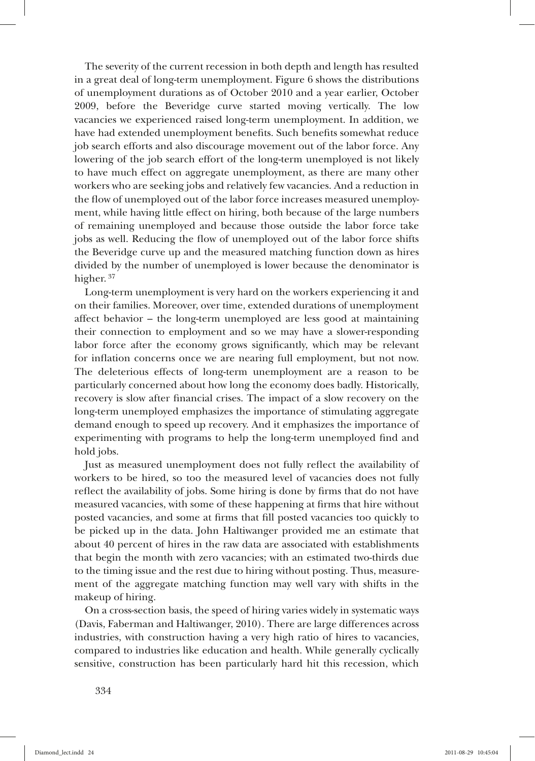The severity of the current recession in both depth and length has resulted in a great deal of long-term unemployment. Figure 6 shows the distributions of unemployment durations as of October 2010 and a year earlier, October 2009, before the Beveridge curve started moving vertically. The low vacancies we experienced raised long-term unemployment. In addition, we have had extended unemployment benefits. Such benefits somewhat reduce job search efforts and also discourage movement out of the labor force. Any lowering of the job search effort of the long-term unemployed is not likely to have much effect on aggregate unemployment, as there are many other workers who are seeking jobs and relatively few vacancies. And a reduction in the flow of unemployed out of the labor force increases measured unemployment, while having little effect on hiring, both because of the large numbers of remaining unemployed and because those outside the labor force take jobs as well. Reducing the flow of unemployed out of the labor force shifts the Beveridge curve up and the measured matching function down as hires divided by the number of unemployed is lower because the denominator is higher. <sup>37</sup>

Long-term unemployment is very hard on the workers experiencing it and on their families. Moreover, over time, extended durations of unemployment affect behavior – the long-term unemployed are less good at maintaining their connection to employment and so we may have a slower-responding labor force after the economy grows significantly, which may be relevant for inflation concerns once we are nearing full employment, but not now. The deleterious effects of long-term unemployment are a reason to be particularly concerned about how long the economy does badly. Historically, recovery is slow after financial crises. The impact of a slow recovery on the long-term unemployed emphasizes the importance of stimulating aggregate demand enough to speed up recovery. And it emphasizes the importance of experimenting with programs to help the long-term unemployed find and hold jobs.

Just as measured unemployment does not fully reflect the availability of workers to be hired, so too the measured level of vacancies does not fully reflect the availability of jobs. Some hiring is done by firms that do not have measured vacancies, with some of these happening at firms that hire without posted vacancies, and some at firms that fill posted vacancies too quickly to be picked up in the data. John Haltiwanger provided me an estimate that about 40 percent of hires in the raw data are associated with establishments that begin the month with zero vacancies; with an estimated two-thirds due to the timing issue and the rest due to hiring without posting. Thus, measurement of the aggregate matching function may well vary with shifts in the makeup of hiring.

On a cross-section basis, the speed of hiring varies widely in systematic ways (Davis, Faberman and Haltiwanger, 2010). There are large differences across industries, with construction having a very high ratio of hires to vacancies, compared to industries like education and health. While generally cyclically sensitive, construction has been particularly hard hit this recession, which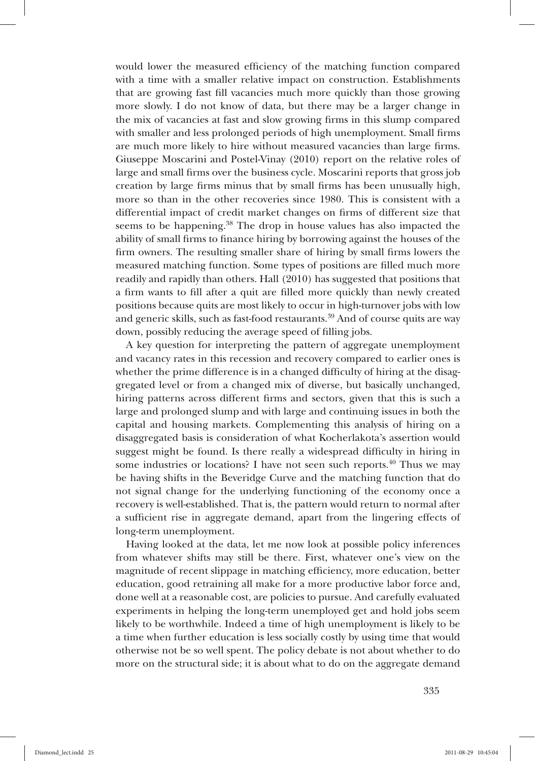would lower the measured efficiency of the matching function compared with a time with a smaller relative impact on construction. Establishments that are growing fast fill vacancies much more quickly than those growing more slowly. I do not know of data, but there may be a larger change in the mix of vacancies at fast and slow growing firms in this slump compared with smaller and less prolonged periods of high unemployment. Small firms are much more likely to hire without measured vacancies than large firms. Giuseppe Moscarini and Postel-Vinay (2010) report on the relative roles of large and small firms over the business cycle. Moscarini reports that gross job creation by large firms minus that by small firms has been unusually high, more so than in the other recoveries since 1980. This is consistent with a differential impact of credit market changes on firms of different size that seems to be happening. 38 The drop in house values has also impacted the ability of small firms to finance hiring by borrowing against the houses of the firm owners. The resulting smaller share of hiring by small firms lowers the measured matching function. Some types of positions are filled much more readily and rapidly than others. Hall (2010) has suggested that positions that a firm wants to fill after a quit are filled more quickly than newly created positions because quits are most likely to occur in high-turnover jobs with low and generic skills, such as fast-food restaurants. 39 And of course quits are way down, possibly reducing the average speed of filling jobs.

A key question for interpreting the pattern of aggregate unemployment and vacancy rates in this recession and recovery compared to earlier ones is whether the prime difference is in a changed difficulty of hiring at the disaggregated level or from a changed mix of diverse, but basically unchanged, hiring patterns across different firms and sectors, given that this is such a large and prolonged slump and with large and continuing issues in both the capital and housing markets. Complementing this analysis of hiring on a disaggregated basis is consideration of what Kocherlakota's assertion would suggest might be found. Is there really a widespread difficulty in hiring in some industries or locations? I have not seen such reports. 40 Thus we may be having shifts in the Beveridge Curve and the matching function that do not signal change for the underlying functioning of the economy once a recovery is well-established. That is, the pattern would return to normal after a sufficient rise in aggregate demand, apart from the lingering effects of long-term unemployment.

Having looked at the data, let me now look at possible policy inferences from whatever shifts may still be there. First, whatever one's view on the magnitude of recent slippage in matching efficiency, more education, better education, good retraining all make for a more productive labor force and, done well at a reasonable cost, are policies to pursue. And carefully evaluated experiments in helping the long-term unemployed get and hold jobs seem likely to be worthwhile. Indeed a time of high unemployment is likely to be a time when further education is less socially costly by using time that would otherwise not be so well spent. The policy debate is not about whether to do more on the structural side; it is about what to do on the aggregate demand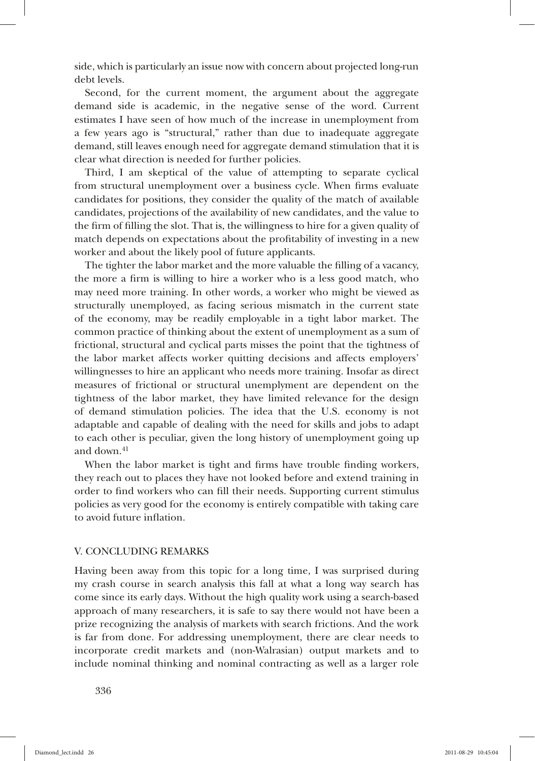side, which is particularly an issue now with concern about projected long-run debt levels.

Second, for the current moment, the argument about the aggregate demand side is academic, in the negative sense of the word. Current estimates I have seen of how much of the increase in unemployment from a few years ago is "structural," rather than due to inadequate aggregate demand, still leaves enough need for aggregate demand stimulation that it is clear what direction is needed for further policies.

Third, I am skeptical of the value of attempting to separate cyclical from structural unemployment over a business cycle. When firms evaluate candidates for positions, they consider the quality of the match of available candidates, projections of the availability of new candidates, and the value to the firm of filling the slot. That is, the willingness to hire for a given quality of match depends on expectations about the profitability of investing in a new worker and about the likely pool of future applicants.

The tighter the labor market and the more valuable the filling of a vacancy, the more a firm is willing to hire a worker who is a less good match, who may need more training. In other words, a worker who might be viewed as structurally unemployed, as facing serious mismatch in the current state of the economy, may be readily employable in a tight labor market. The common practice of thinking about the extent of unemployment as a sum of frictional, structural and cyclical parts misses the point that the tightness of the labor market affects worker quitting decisions and affects employers' willingnesses to hire an applicant who needs more training. Insofar as direct measures of frictional or structural unemplyment are dependent on the tightness of the labor market, they have limited relevance for the design of demand stimulation policies. The idea that the U.S. economy is not adaptable and capable of dealing with the need for skills and jobs to adapt to each other is peculiar, given the long history of unemployment going up and down. 41

When the labor market is tight and firms have trouble finding workers, they reach out to places they have not looked before and extend training in order to find workers who can fill their needs. Supporting current stimulus policies as very good for the economy is entirely compatible with taking care to avoid future inflation.

## V. CONCLUDING REMARKS

Having been away from this topic for a long time, I was surprised during my crash course in search analysis this fall at what a long way search has come since its early days. Without the high quality work using a search-based approach of many researchers, it is safe to say there would not have been a prize recognizing the analysis of markets with search frictions. And the work is far from done. For addressing unemployment, there are clear needs to incorporate credit markets and (non-Walrasian) output markets and to include nominal thinking and nominal contracting as well as a larger role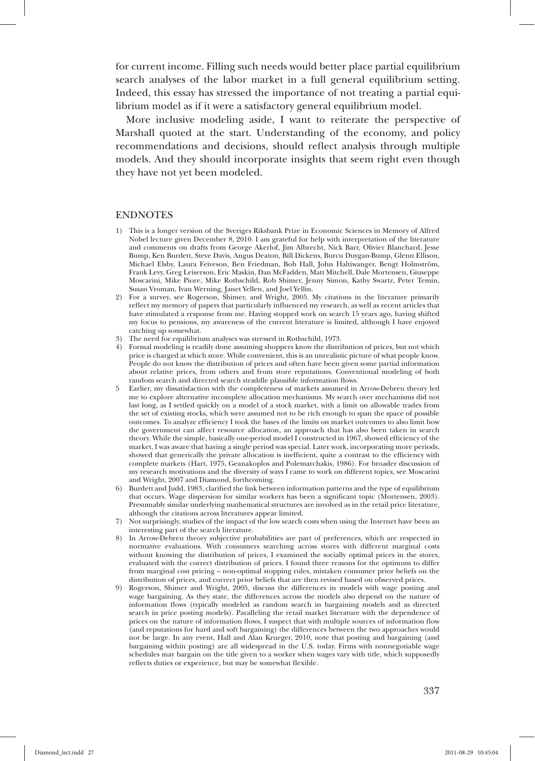for current income. Filling such needs would better place partial equilibrium search analyses of the labor market in a full general equilibrium setting. Indeed, this essay has stressed the importance of not treating a partial equilibrium model as if it were a satisfactory general equilibrium model.

More inclusive modeling aside, I want to reiterate the perspective of Marshall quoted at the start. Understanding of the economy, and policy recommendations and decisions, should reflect analysis through multiple models. And they should incorporate insights that seem right even though they have not yet been modeled.

#### ENDNOTES

- 1) This is a longer version of the Sveriges Riksbank Prize in Economic Sciences in Memory of Alfred Nobel lecture given December 8, 2010. I am grateful for help with interpretation of the literature and comments on drafts from George Akerlof, Jim Albrecht, Nick Barr, Olivier Blanchard, Jesse Bump, Ken Burdett, Steve Davis, Angus Deaton, Bill Dickens, Burcu Duygan-Bump, Glenn Ellison, Michael Elsby, Laura Feiveson, Ben Friedman, Bob Hall, John Haltiwanger, Bengt Holmström, Frank Levy, Greg Leiserson, Eric Maskin, Dan McFadden, Matt Mitchell, Dale Mortensen, Giuseppe Moscarini, Mike Piore, Mike Rothschild, Rob Shimer, Jenny Simon, Kathy Swartz, Peter Temin, Susan Vroman, Ivan Werning, Janet Yellen, and Joel Yellin.
- 2) For a survey, see Rogerson, Shimer, and Wright, 2005. My citations in the literature primarily reflect my memory of papers that particularly influenced my research, as well as recent articles that have stimulated a response from me. Having stopped work on search 15 years ago, having shifted my focus to pensions, my awareness of the current literature is limited, although I have enjoyed catching up somewhat.
- 3) The need for equilibrium analyses was stressed in Rothschild, 1973.
- 4) Formal modeling is readily done assuming shoppers know the distribution of prices, but not which price is charged at which store. While convenient, this is an unrealistic picture of what people know. People do not know the distribution of prices and often have been given some partial information about relative prices, from others and from store reputations. Conventional modeling of both random search and directed search straddle plausible information flows.
- 5 Earlier, my dissatisfaction with the completeness of markets assumed in Arrow-Debreu theory led me to explore alternative incomplete allocation mechanisms. My search over mechanisms did not last long, as I settled quickly on a model of a stock market, with a limit on allowable trades from the set of existing stocks, which were assumed not to be rich enough to span the space of possible outcomes. To analyze efficiency I took the bases of the limits on market outcomes to also limit how the government can affect resource allocation, an approach that has also been taken in search theory. While the simple, basically one-period model I constructed in 1967, showed efficiency of the market, I was aware that having a single period was special. Later work, incorporating more periods, showed that generically the private allocation is inefficient, quite a contrast to the efficiency with complete markets (Hart, 1975, Geanakoplos and Polemarchakis, 1986). For broader discussion of my research motivations and the diversity of ways I came to work on different topics, see Moscarini and Wright, 2007 and Diamond, forthcoming.
- 6) Burdett and Judd, 1983, clarified the link between information patterns and the type of equilibrium that occurs. Wage dispersion for similar workers has been a significant topic (Mortensen, 2003). Presumably similar underlying mathematical structures are involved as in the retail price literature, although the citations across literatures appear limited.
- 7) Not surprisingly, studies of the impact of the low search costs when using the Internet have been an interesting part of the search literature.
- 8) In Arrow-Debreu theory subjective probabilities are part of preferences, which are respected in normative evaluations. With consumers searching across stores with different marginal costs without knowing the distribution of prices, I examined the socially optimal prices in the stores, evaluated with the correct distribution of prices. I found three reasons for the optimum to differ from marginal cost pricing – non-optimal stopping rules, mistaken consumer prior beliefs on the distribution of prices, and correct prior beliefs that are then revised based on observed prices.
- 9) Rogerson, Shimer and Wright, 2005, discuss the differences in models with wage posting and wage bargaining. As they state, the differences across the models also depend on the nature of information flows (typically modeled as random search in bargaining models and as directed search in price posting models). Paralleling the retail market literature with the dependence of prices on the nature of information flows, I suspect that with multiple sources of information flow (and reputations for hard and soft bargaining) the differences between the two approaches would not be large. In any event, Hall and Alan Krueger, 2010, note that posting and bargaining (and bargaining within posting) are all widespread in the U.S. today. Firms with nonnegotiable wage schedules may bargain on the title given to a worker when wages vary with title, which supposedly reflects duties or experience, but may be somewhat flexible.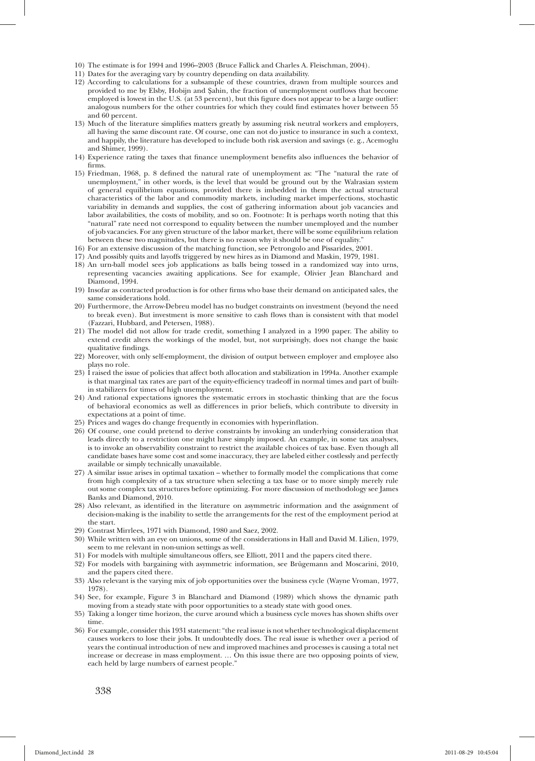- 10) The estimate is for 1994 and 1996–2003 (Bruce Fallick and Charles A. Fleischman, 2004).
- 11) Dates for the averaging vary by country depending on data availability.
- 12) According to calculations for a subsample of these countries, drawn from multiple sources and provided to me by Elsby, Hobijn and Sahin, the fraction of unemployment outflows that become employed is lowest in the U.S. (at 53 percent), but this figure does not appear to be a large outlier: analogous numbers for the other countries for which they could find estimates hover between 55 and 60 percent.
- 13) Much of the literature simplifies matters greatly by assuming risk neutral workers and employers, all having the same discount rate. Of course, one can not do justice to insurance in such a context, and happily, the literature has developed to include both risk aversion and savings (e. g., Acemoglu and Shimer, 1999).
- 14) Experience rating the taxes that finance unemployment benefits also influences the behavior of firms.
- 15) Friedman, 1968, p. 8 defined the natural rate of unemployment as: "The "natural the rate of unemployment," in other words, is the level that would be ground out by the Walrasian system of general equilibrium equations, provided there is imbedded in them the actual structural characteristics of the labor and commodity markets, including market imperfections, stochastic variability in demands and supplies, the cost of gathering information about job vacancies and labor availabilities, the costs of mobility, and so on. Footnote: It is perhaps worth noting that this "natural" rate need not correspond to equality between the number unemployed and the number of job vacancies. For any given structure of the labor market, there will be some equilibrium relation between these two magnitudes, but there is no reason why it should be one of equality."
- 16) For an extensive discussion of the matching function, see Petrongolo and Pissarides, 2001.
- 17) And possibly quits and layoffs triggered by new hires as in Diamond and Maskin, 1979, 1981.
- 18) An urn-ball model sees job applications as balls being tossed in a randomized way into urns, representing vacancies awaiting applications. See for example, Olivier Jean Blanchard and Diamond, 1994.
- 19) Insofar as contracted production is for other firms who base their demand on anticipated sales, the same considerations hold.
- 20) Furthermore, the Arrow-Debreu model has no budget constraints on investment (beyond the need to break even). But investment is more sensitive to cash flows than is consistent with that model (Fazzari, Hubbard, and Petersen, 1988).
- 21) The model did not allow for trade credit, something I analyzed in a 1990 paper. The ability to extend credit alters the workings of the model, but, not surprisingly, does not change the basic qualitative findings.
- 22) Moreover, with only self-employment, the division of output between employer and employee also plays no role.
- 23) I raised the issue of policies that affect both allocation and stabilization in 1994a. Another example is that marginal tax rates are part of the equity-efficiency tradeoff in normal times and part of builtin stabilizers for times of high unemployment.
- 24) And rational expectations ignores the systematic errors in stochastic thinking that are the focus of behavioral economics as well as differences in prior beliefs, which contribute to diversity in expectations at a point of time.
- 25) Prices and wages do change frequently in economies with hyperinflation.
- 26) Of course, one could pretend to derive constraints by invoking an underlying consideration that leads directly to a restriction one might have simply imposed. An example, in some tax analyses, is to invoke an observability constraint to restrict the available choices of tax base. Even though all candidate bases have some cost and some inaccuracy, they are labeled either costlessly and perfectly available or simply technically unavailable.
- 27) A similar issue arises in optimal taxation whether to formally model the complications that come from high complexity of a tax structure when selecting a tax base or to more simply merely rule out some complex tax structures before optimizing. For more discussion of methodology see James Banks and Diamond, 2010.
- 28) Also relevant, as identified in the literature on asymmetric information and the assignment of decision-making is the inability to settle the arrangements for the rest of the employment period at the start.
- 29) Contrast Mirrlees, 1971 with Diamond, 1980 and Saez, 2002.
- 30) While written with an eye on unions, some of the considerations in Hall and David M. Lilien, 1979, seem to me relevant in non-union settings as well.
- 31) For models with multiple simultaneous offers, see Elliott, 2011 and the papers cited there.
- 32) For models with bargaining with asymmetric information, see Brügemann and Moscarini, 2010, and the papers cited there.
- 33) Also relevant is the varying mix of job opportunities over the business cycle (Wayne Vroman, 1977, 1978).
- 34) See, for example, Figure 3 in Blanchard and Diamond (1989) which shows the dynamic path moving from a steady state with poor opportunities to a steady state with good ones.
- 35) Taking a longer time horizon, the curve around which a business cycle moves has shown shifts over time.
- 36) For example, consider this 1931 statement: "the real issue is not whether technological displacement causes workers to lose their jobs. It undoubtedly does. The real issue is whether over a period of years the continual introduction of new and improved machines and processes is causing a total net increase or decrease in mass employment. … On this issue there are two opposing points of view, each held by large numbers of earnest people."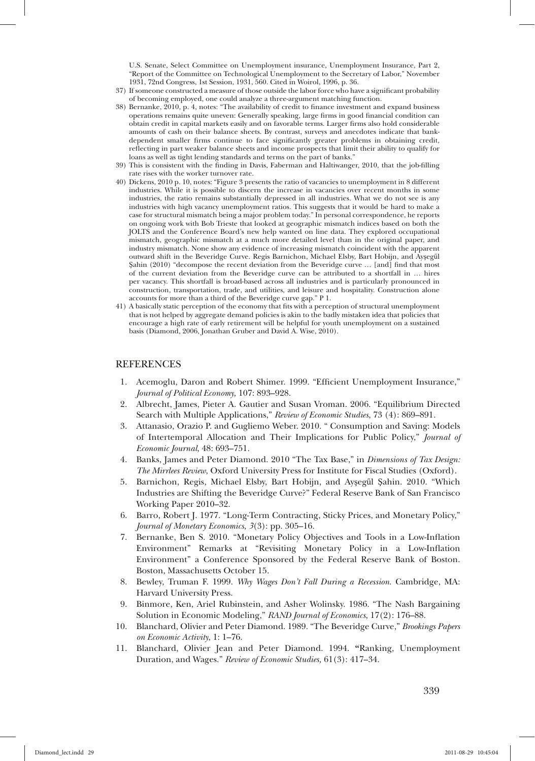U.S. Senate, Select Committee on Unemployment insurance, Unemployment Insurance, Part 2, "Report of the Committee on Technological Unemployment to the Secretary of Labor," November 1931, 72nd Congress, 1st Session, 1931, 560. Cited in Woirol, 1996, p. 36.

- 37) If someone constructed a measure of those outside the labor force who have a significant probability of becoming employed, one could analyze a three-argument matching function.
- 38) Bernanke, 2010, p. 4, notes: "The availability of credit to finance investment and expand business operations remains quite uneven: Generally speaking, large firms in good financial condition can obtain credit in capital markets easily and on favorable terms. Larger firms also hold considerable amounts of cash on their balance sheets. By contrast, surveys and anecdotes indicate that bankdependent smaller firms continue to face significantly greater problems in obtaining credit, reflecting in part weaker balance sheets and income prospects that limit their ability to qualify for loans as well as tight lending standards and terms on the part of banks."
- 39) This is consistent with the finding in Davis, Faberman and Haltiwanger, 2010, that the job-filling rate rises with the worker turnover rate.
- 40) Dickens, 2010 p. 10, notes: "Figure 3 presents the ratio of vacancies to unemployment in 8 different industries. While it is possible to discern the increase in vacancies over recent months in some industries, the ratio remains substantially depressed in all industries. What we do not see is any industries with high vacancy unemployment ratios. This suggests that it would be hard to make a case for structural mismatch being a major problem today." In personal correspondence, he reports on ongoing work with Bob Trieste that looked at geographic mismatch indices based on both the JOLTS and the Conference Board's new help wanted on line data. They explored occupational mismatch, geographic mismatch at a much more detailed level than in the original paper, and industry mismatch. None show any evidence of increasing mismatch coincident with the apparent outward shift in the Beveridge Curve. Regis Barnichon, Michael Elsby, Bart Hobijn, and Ayşegűl Şahin (2010) "decompose the recent deviation from the Beveridge curve ... [and] find that most of the current deviation from the Beveridge curve can be attributed to a shortfall in … hires per vacancy. This shortfall is broad-based across all industries and is particularly pronounced in construction, transportation, trade, and utilities, and leisure and hospitality. Construction alone accounts for more than a third of the Beveridge curve gap." P 1.
- 41) A basically static perception of the economy that fits with a perception of structural unemployment that is not helped by aggregate demand policies is akin to the badly mistaken idea that policies that encourage a high rate of early retirement will be helpful for youth unemployment on a sustained basis (Diamond, 2006, Jonathan Gruber and David A. Wise, 2010).

#### **REFERENCES**

- 1. Acemoglu, Daron and Robert Shimer. 1999. "Efficient Unemployment Insurance," *Journal of Political Economy*, 107: 893–928.
- 2. Albrecht, James, Pieter A. Gautier and Susan Vroman. 2006. "Equilibrium Directed Search with Multiple Applications," *Review of Economic Studies*, 73 (4): 869–891.
- 3. Attanasio, Orazio P. and Gugliemo Weber. 2010. " Consumption and Saving: Models of Intertemporal Allocation and Their Implications for Public Policy," *Journal of Economic Journal*, 48: 693–751.
- 4. Banks, James and Peter Diamond. 2010 "The Tax Base," in *Dimensions of Tax Design: The Mirrlees Review*, Oxford University Press for Institute for Fiscal Studies (Oxford).
- 5. Barnichon, Regis, Michael Elsby, Bart Hobijn, and Ayşegűl Şahin. 2010. "Which Industries are Shifting the Beveridge Curve?" Federal Reserve Bank of San Francisco Working Paper 2010–32.
- 6. Barro, Robert J. 1977. "Long-Term Contracting, Sticky Prices, and Monetary Policy," *Journal of Monetary Economics*, *3*(3): pp. 305–16.
- 7. Bernanke, Ben S. 2010. "Monetary Policy Objectives and Tools in a Low-Inflation Environment" Remarks at "Revisiting Monetary Policy in a Low-Inflation Environment" a Conference Sponsored by the Federal Reserve Bank of Boston. Boston, Massachusetts October 15.
- 8. Bewley, Truman F. 1999. *Why Wages Don't Fall During a Recession*. Cambridge, MA: Harvard University Press.
- 9. Binmore, Ken, Ariel Rubinstein, and Asher Wolinsky. 1986. "The Nash Bargaining Solution in Economic Modeling," *RAND Journal of Economics*, 17(2): 176–88.
- 10. Blanchard, Olivier and Peter Diamond. 1989. "The Beveridge Curve," *Brookings Papers on Economic Activity*, 1: 1–76.
- 11. Blanchard, Olivier Jean and Peter Diamond. 1994. **"**Ranking, Unemployment Duration, and Wages." *Review of Economic Studies,* 61(3): 417–34.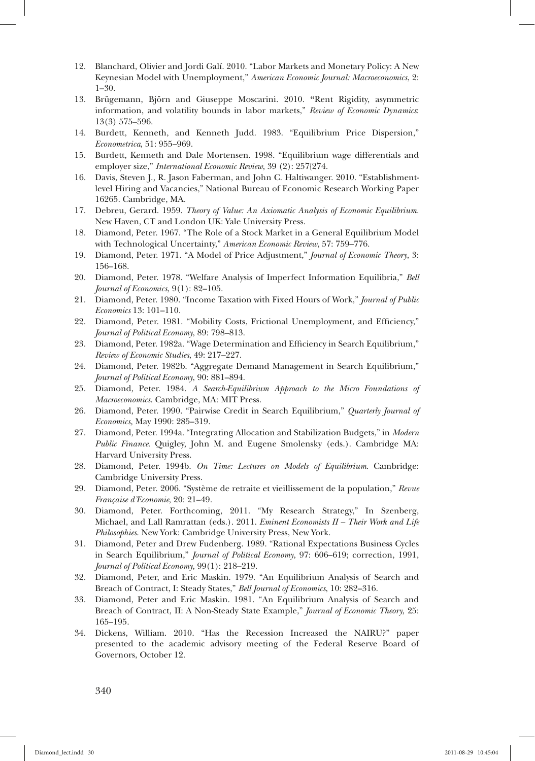- 12. Blanchard, Olivier and Jordi Galí. 2010. "Labor Markets and Monetary Policy: A New Keynesian Model with Unemployment," *American Economic Journal: Macroeconomics*, 2: 1–30.
- 13. Brügemann, Björn and Giuseppe Moscarini. 2010. **"**Rent Rigidity, asymmetric information, and volatility bounds in labor markets," *Review of Economic Dynamics*: 13(3) 575–596.
- 14. Burdett, Kenneth, and Kenneth Judd. 1983. "Equilibrium Price Dispersion," *Econometrica*, 51: 955–969.
- 15. Burdett, Kenneth and Dale Mortensen. 1998. "Equilibrium wage differentials and employer size," *International Economic Review*, 39 (2): 257{274.
- 16. Davis, Steven J., R. Jason Faberman, and John C. Haltiwanger. 2010. "Establishmentlevel Hiring and Vacancies," National Bureau of Economic Research Working Paper 16265. Cambridge, MA.
- 17. Debreu, Gerard. 1959. *Theory of Value: An Axiomatic Analysis of Economic Equilibrium.* New Haven, CT and London UK: Yale University Press.
- 18. Diamond, Peter. 1967. "The Role of a Stock Market in a General Equilibrium Model with Technological Uncertainty," *American Economic Review*, 57: 759–776.
- 19. Diamond, Peter. 1971. "A Model of Price Adjustment," *Journal of Economic Theory*, 3: 156–168.
- 20. Diamond, Peter. 1978. "Welfare Analysis of Imperfect Information Equilibria," *Bell Journal of Economics*, 9(1): 82–105.
- 21. Diamond, Peter. 1980. "Income Taxation with Fixed Hours of Work," *Journal of Public Economics* 13: 101–110.
- 22. Diamond, Peter. 1981. "Mobility Costs, Frictional Unemployment, and Efficiency," *Journal of Political Economy*, 89: 798–813.
- 23. Diamond, Peter. 1982a. "Wage Determination and Efficiency in Search Equilibrium," *Review of Economic Studies*, 49: 217–227.
- 24. Diamond, Peter. 1982b. "Aggregate Demand Management in Search Equilibrium," *Journal of Political Economy*, 90: 881–894.
- 25. Diamond, Peter. 1984. *A Search-Equilibrium Approach to the Micro Foundations of Macroeconomics*. Cambridge, MA: MIT Press.
- 26. Diamond, Peter. 1990. "Pairwise Credit in Search Equilibrium," *Quarterly Journal of Economics,* May 1990: 285–319.
- 27. Diamond, Peter. 1994a. "Integrating Allocation and Stabilization Budgets," in *Modern Public Finance*. Quigley, John M. and Eugene Smolensky (eds.). Cambridge MA: Harvard University Press.
- 28. Diamond, Peter. 1994b. *On Time: Lectures on Models of Equilibrium*. Cambridge: Cambridge University Press.
- 29. Diamond, Peter. 2006. "Système de retraite et vieillissement de la population," *Revue Française d'Economie*, 20: 21–49.
- 30. Diamond, Peter. Forthcoming, 2011. "My Research Strategy," In Szenberg, Michael, and Lall Ramrattan (eds.). 2011. *Eminent Economists II – Their Work and Life Philosophies*. New York: Cambridge University Press, New York.
- 31. Diamond, Peter and Drew Fudenberg. 1989. "Rational Expectations Business Cycles in Search Equilibrium," *Journal of Political Economy*, 97: 606–619; correction, 1991, *Journal of Political Economy*, 99(1): 218–219.
- 32. Diamond, Peter, and Eric Maskin. 1979. "An Equilibrium Analysis of Search and Breach of Contract, I: Steady States," *Bell Journal of Economics*, 10: 282–316.
- 33. Diamond, Peter and Eric Maskin. 1981. "An Equilibrium Analysis of Search and Breach of Contract, II: A Non-Steady State Example," *Journal of Economic Theory*, 25: 165–195.
- 34. Dickens, William. 2010. "Has the Recession Increased the NAIRU?" paper presented to the academic advisory meeting of the Federal Reserve Board of Governors, October 12.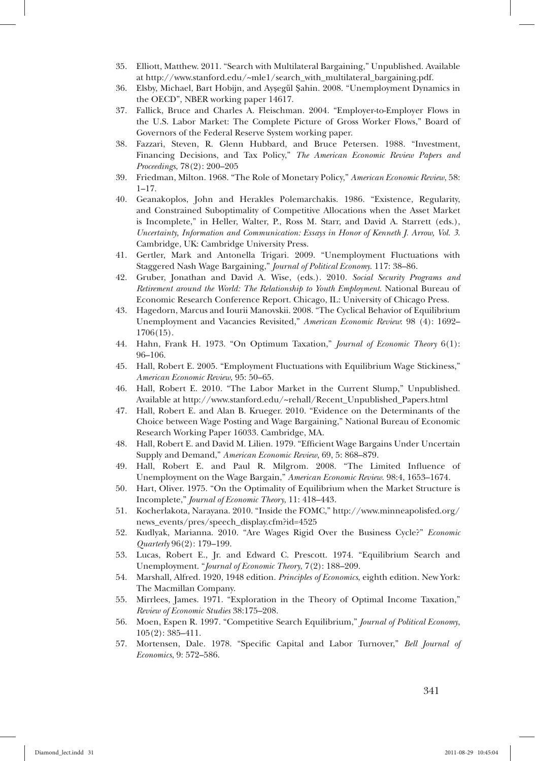- 35. Elliott, Matthew. 2011. "Search with Multilateral Bargaining," Unpublished. Available at http://www.stanford.edu/~mle1/search\_with\_multilateral\_bargaining.pdf.
- 36. Elsby, Michael, Bart Hobijn, and Ayşegül Şahin. 2008. "Unemployment Dynamics in the OECD", NBER working paper 14617.
- 37. Fallick, Bruce and Charles A. Fleischman. 2004. "Employer-to-Employer Flows in the U.S. Labor Market: The Complete Picture of Gross Worker Flows," Board of Governors of the Federal Reserve System working paper.
- 38. Fazzari, Steven, R. Glenn Hubbard, and Bruce Petersen. 1988. "Investment, Financing Decisions, and Tax Policy," *The American Economic Review Papers and Proceedings*, 78(2): 200–205
- 39. Friedman, Milton. 1968. "The Role of Monetary Policy," *American Economic Review*, 58: 1–17.
- 40. Geanakoplos, John and Herakles Polemarchakis. 1986. "Existence, Regularity, and Constrained Suboptimality of Competitive Allocations when the Asset Market is Incomplete," in Heller, Walter, P., Ross M. Starr, and David A. Starrett (eds.), *Uncertainty, Information and Communication: Essays in Honor of Kenneth J. Arrow, Vol. 3*. Cambridge, UK: Cambridge University Press.
- 41. Gertler, Mark and Antonella Trigari. 2009. "Unemployment Fluctuations with Staggered Nash Wage Bargaining," *Journal of Political Economy*. 117: 38–86.
- 42. Gruber, Jonathan and David A. Wise, (eds.). 2010. *Social Security Programs and Retirement around the World: The Relationship to Youth Employment*. National Bureau of Economic Research Conference Report. Chicago, IL: University of Chicago Press.
- 43. Hagedorn, Marcus and Iourii Manovskii. 2008. "The Cyclical Behavior of Equilibrium Unemployment and Vacancies Revisited," *American Economic Review*: 98 (4): 1692– 1706(15).
- 44. Hahn, Frank H. 1973. "On Optimum Taxation," *Journal of Economic Theory* 6(1): 96–106.
- 45. Hall, Robert E. 2005. "Employment Fluctuations with Equilibrium Wage Stickiness," *American Economic Review*, 95: 50–65.
- 46. Hall, Robert E. 2010. "The Labor Market in the Current Slump," Unpublished. Available at http://www.stanford.edu/~rehall/Recent\_Unpublished\_Papers.html
- 47. Hall, Robert E. and Alan B. Krueger. 2010. "Evidence on the Determinants of the Choice between Wage Posting and Wage Bargaining," National Bureau of Economic Research Working Paper 16033. Cambridge, MA.
- 48. Hall, Robert E. and David M. Lilien. 1979. "Efficient Wage Bargains Under Uncertain Supply and Demand," *American Economic Review*, 69, 5: 868–879.
- 49. Hall, Robert E. and Paul R. Milgrom. 2008. "The Limited Influence of Unemployment on the Wage Bargain," *American Economic Review*. 98:4, 1653–1674.
- 50. Hart, Oliver. 1975. "On the Optimality of Equilibrium when the Market Structure is Incomplete," *Journal of Economic Theory*, 11: 418–443.
- 51. Kocherlakota, Narayana. 2010. "Inside the FOMC," http://www.minneapolisfed.org/ news\_events/pres/speech\_display.cfm?id=4525
- 52. Kudlyak, Marianna. 2010. "Are Wages Rigid Over the Business Cycle?" *Economic Quarterly* 96(2): 179–199.
- 53. Lucas, Robert E., Jr. and Edward C. Prescott. 1974. "Equilibrium Search and Unemployment. "*Journal of Economic Theory*, 7(2): 188–209.
- 54. Marshall, Alfred. 1920, 1948 edition. *Principles of Economics*, eighth edition. New York: The Macmillan Company.
- 55. Mirrlees, James. 1971. "Exploration in the Theory of Optimal Income Taxation," *Review of Economic Studies* 38:175–208.
- 56. Moen, Espen R. 1997. "Competitive Search Equilibrium," *Journal of Political Economy*, 105(2): 385–411.
- 57. Mortensen, Dale. 1978. "Specific Capital and Labor Turnover," *Bell Journal of Economics*, 9: 572–586.